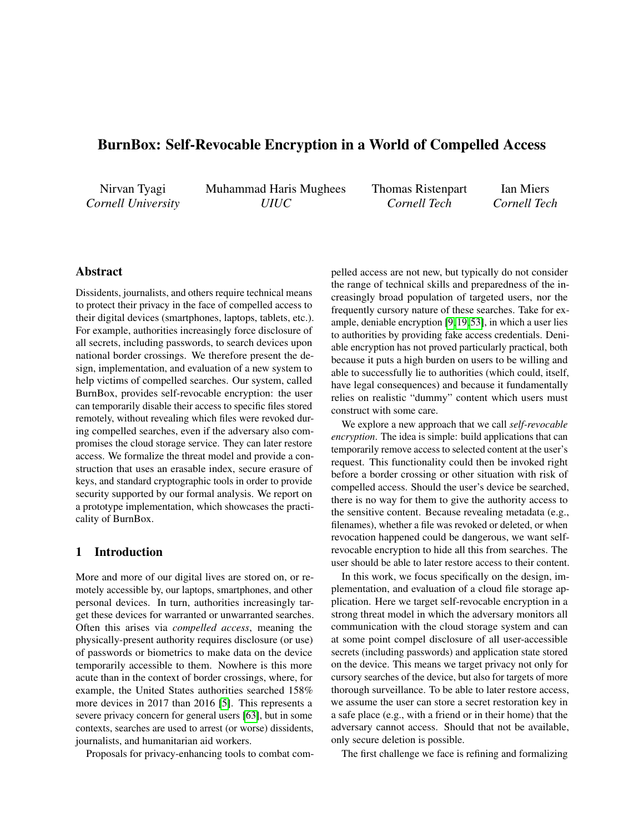# <span id="page-0-0"></span>BurnBox: Self-Revocable Encryption in a World of Compelled Access

Nirvan Tyagi *Cornell University* Muhammad Haris Mughees *UIUC*

Thomas Ristenpart *Cornell Tech*

Ian Miers *Cornell Tech*

# Abstract

Dissidents, journalists, and others require technical means to protect their privacy in the face of compelled access to their digital devices (smartphones, laptops, tablets, etc.). For example, authorities increasingly force disclosure of all secrets, including passwords, to search devices upon national border crossings. We therefore present the design, implementation, and evaluation of a new system to help victims of compelled searches. Our system, called BurnBox, provides self-revocable encryption: the user can temporarily disable their access to specific files stored remotely, without revealing which files were revoked during compelled searches, even if the adversary also compromises the cloud storage service. They can later restore access. We formalize the threat model and provide a construction that uses an erasable index, secure erasure of keys, and standard cryptographic tools in order to provide security supported by our formal analysis. We report on a prototype implementation, which showcases the practicality of BurnBox.

## 1 Introduction

More and more of our digital lives are stored on, or remotely accessible by, our laptops, smartphones, and other personal devices. In turn, authorities increasingly target these devices for warranted or unwarranted searches. Often this arises via *compelled access*, meaning the physically-present authority requires disclosure (or use) of passwords or biometrics to make data on the device temporarily accessible to them. Nowhere is this more acute than in the context of border crossings, where, for example, the United States authorities searched 158% more devices in 2017 than 2016 [\[5\]](#page-14-0). This represents a severe privacy concern for general users [\[63\]](#page-16-0), but in some contexts, searches are used to arrest (or worse) dissidents, journalists, and humanitarian aid workers.

Proposals for privacy-enhancing tools to combat com-

pelled access are not new, but typically do not consider the range of technical skills and preparedness of the increasingly broad population of targeted users, nor the frequently cursory nature of these searches. Take for example, deniable encryption [\[9,](#page-14-1)[19,](#page-14-2)[53\]](#page-15-0), in which a user lies to authorities by providing fake access credentials. Deniable encryption has not proved particularly practical, both because it puts a high burden on users to be willing and able to successfully lie to authorities (which could, itself, have legal consequences) and because it fundamentally relies on realistic "dummy" content which users must construct with some care.

We explore a new approach that we call *self-revocable encryption*. The idea is simple: build applications that can temporarily remove access to selected content at the user's request. This functionality could then be invoked right before a border crossing or other situation with risk of compelled access. Should the user's device be searched, there is no way for them to give the authority access to the sensitive content. Because revealing metadata (e.g., filenames), whether a file was revoked or deleted, or when revocation happened could be dangerous, we want selfrevocable encryption to hide all this from searches. The user should be able to later restore access to their content.

In this work, we focus specifically on the design, implementation, and evaluation of a cloud file storage application. Here we target self-revocable encryption in a strong threat model in which the adversary monitors all communication with the cloud storage system and can at some point compel disclosure of all user-accessible secrets (including passwords) and application state stored on the device. This means we target privacy not only for cursory searches of the device, but also for targets of more thorough surveillance. To be able to later restore access, we assume the user can store a secret restoration key in a safe place (e.g., with a friend or in their home) that the adversary cannot access. Should that not be available, only secure deletion is possible.

The first challenge we face is refining and formalizing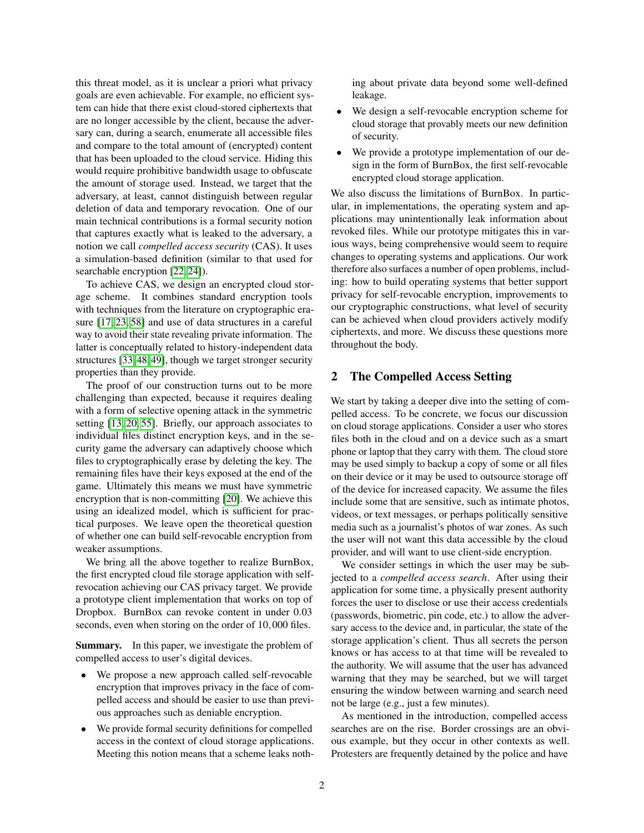this threat model, as it is unclear a priori what privacy goals are even achievable. For example, no efficient system can hide that there exist cloud-stored ciphertexts that are no longer accessible by the client, because the adversary can, during a search, enumerate all accessible files and compare to the total amount of (encrypted) content that has been uploaded to the cloud service. Hiding this would require prohibitive bandwidth usage to obfuscate the amount of storage used. Instead, we target that the adversary, at least, cannot distinguish between regular deletion of data and temporary revocation. One of our main technical contributions is a formal security notion that captures exactly what is leaked to the adversary, a notion we call *compelled access security* (CAS). It uses a simulation-based definition (similar to that used for searchable encryption [\[22,](#page-14-3) [24\]](#page-14-4)).

To achieve CAS, we design an encrypted cloud storage scheme. It combines standard encryption tools with techniques from the literature on cryptographic erasure [\[17,](#page-14-5) [23,](#page-14-6) [58\]](#page-16-1) and use of data structures in a careful way to avoid their state revealing private information. The latter is conceptually related to history-independent data structures [\[33,](#page-15-1) [48,](#page-15-2) [49\]](#page-15-3), though we target stronger security properties than they provide.

The proof of our construction turns out to be more challenging than expected, because it requires dealing with a form of selective opening attack in the symmetric setting [\[13,](#page-14-7) [20,](#page-14-8) [55\]](#page-15-4). Briefly, our approach associates to individual files distinct encryption keys, and in the security game the adversary can adaptively choose which files to cryptographically erase by deleting the key. The remaining files have their keys exposed at the end of the game. Ultimately this means we must have symmetric encryption that is non-committing [\[20\]](#page-14-8). We achieve this using an idealized model, which is sufficient for practical purposes. We leave open the theoretical question of whether one can build self-revocable encryption from weaker assumptions.

We bring all the above together to realize BurnBox, the first encrypted cloud file storage application with selfrevocation achieving our CAS privacy target. We provide a prototype client implementation that works on top of Dropbox. BurnBox can revoke content in under 0.03 seconds, even when storing on the order of 10,000 files.

Summary. In this paper, we investigate the problem of compelled access to user's digital devices.

- We propose a new approach called self-revocable encryption that improves privacy in the face of compelled access and should be easier to use than previous approaches such as deniable encryption.
- We provide formal security definitions for compelled access in the context of cloud storage applications. Meeting this notion means that a scheme leaks noth-

ing about private data beyond some well-defined leakage.

- We design a self-revocable encryption scheme for cloud storage that provably meets our new definition of security.
- We provide a prototype implementation of our design in the form of BurnBox, the first self-revocable encrypted cloud storage application.

We also discuss the limitations of BurnBox. In particular, in implementations, the operating system and applications may unintentionally leak information about revoked files. While our prototype mitigates this in various ways, being comprehensive would seem to require changes to operating systems and applications. Our work therefore also surfaces a number of open problems, including: how to build operating systems that better support privacy for self-revocable encryption, improvements to our cryptographic constructions, what level of security can be achieved when cloud providers actively modify ciphertexts, and more. We discuss these questions more throughout the body.

## 2 The Compelled Access Setting

We start by taking a deeper dive into the setting of compelled access. To be concrete, we focus our discussion on cloud storage applications. Consider a user who stores files both in the cloud and on a device such as a smart phone or laptop that they carry with them. The cloud store may be used simply to backup a copy of some or all files on their device or it may be used to outsource storage off of the device for increased capacity. We assume the files include some that are sensitive, such as intimate photos, videos, or text messages, or perhaps politically sensitive media such as a journalist's photos of war zones. As such the user will not want this data accessible by the cloud provider, and will want to use client-side encryption.

We consider settings in which the user may be subjected to a *compelled access search*. After using their application for some time, a physically present authority forces the user to disclose or use their access credentials (passwords, biometric, pin code, etc.) to allow the adversary access to the device and, in particular, the state of the storage application's client. Thus all secrets the person knows or has access to at that time will be revealed to the authority. We will assume that the user has advanced warning that they may be searched, but we will target ensuring the window between warning and search need not be large (e.g., just a few minutes).

As mentioned in the introduction, compelled access searches are on the rise. Border crossings are an obvious example, but they occur in other contexts as well. Protesters are frequently detained by the police and have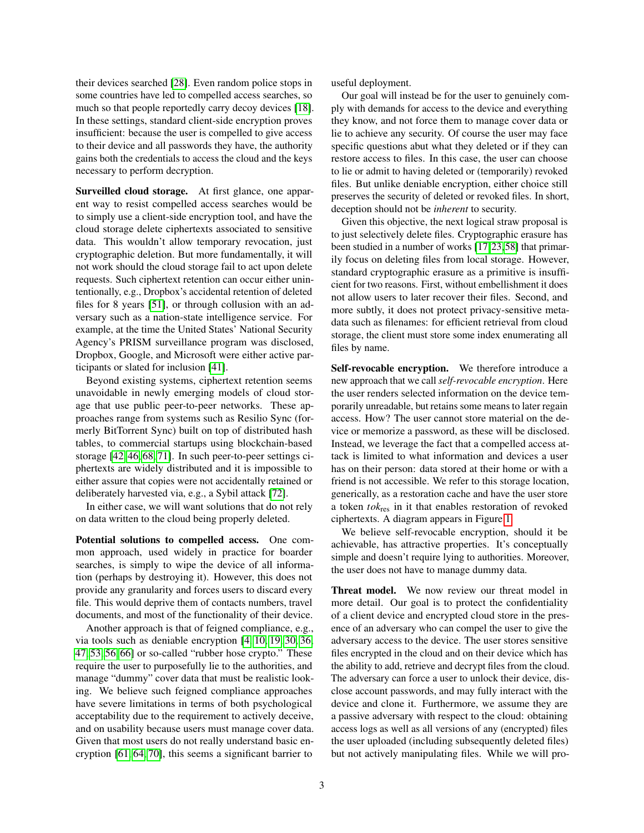their devices searched [\[28\]](#page-15-5). Even random police stops in some countries have led to compelled access searches, so much so that people reportedly carry decoy devices [\[18\]](#page-14-9). In these settings, standard client-side encryption proves insufficient: because the user is compelled to give access to their device and all passwords they have, the authority gains both the credentials to access the cloud and the keys necessary to perform decryption.

Surveilled cloud storage. At first glance, one apparent way to resist compelled access searches would be to simply use a client-side encryption tool, and have the cloud storage delete ciphertexts associated to sensitive data. This wouldn't allow temporary revocation, just cryptographic deletion. But more fundamentally, it will not work should the cloud storage fail to act upon delete requests. Such ciphertext retention can occur either unintentionally, e.g., Dropbox's accidental retention of deleted files for 8 years [\[51\]](#page-15-6), or through collusion with an adversary such as a nation-state intelligence service. For example, at the time the United States' National Security Agency's PRISM surveillance program was disclosed, Dropbox, Google, and Microsoft were either active participants or slated for inclusion [\[41\]](#page-15-7).

Beyond existing systems, ciphertext retention seems unavoidable in newly emerging models of cloud storage that use public peer-to-peer networks. These approaches range from systems such as Resilio Sync (formerly BitTorrent Sync) built on top of distributed hash tables, to commercial startups using blockchain-based storage [\[42,](#page-15-8) [46,](#page-15-9) [68,](#page-16-2) [71\]](#page-16-3). In such peer-to-peer settings ciphertexts are widely distributed and it is impossible to either assure that copies were not accidentally retained or deliberately harvested via, e.g., a Sybil attack [\[72\]](#page-16-4).

In either case, we will want solutions that do not rely on data written to the cloud being properly deleted.

Potential solutions to compelled access. One common approach, used widely in practice for boarder searches, is simply to wipe the device of all information (perhaps by destroying it). However, this does not provide any granularity and forces users to discard every file. This would deprive them of contacts numbers, travel documents, and most of the functionality of their device.

Another approach is that of feigned compliance, e.g., via tools such as deniable encryption [\[4,](#page-14-10) [10,](#page-14-11) [19,](#page-14-2) [30,](#page-15-10) [36,](#page-15-11) [47,](#page-15-12) [53,](#page-15-0) [56,](#page-15-13) [66\]](#page-16-5) or so-called "rubber hose crypto." These require the user to purposefully lie to the authorities, and manage "dummy" cover data that must be realistic looking. We believe such feigned compliance approaches have severe limitations in terms of both psychological acceptability due to the requirement to actively deceive, and on usability because users must manage cover data. Given that most users do not really understand basic encryption [\[61,](#page-16-6) [64,](#page-16-7) [70\]](#page-16-8), this seems a significant barrier to

useful deployment.

Our goal will instead be for the user to genuinely comply with demands for access to the device and everything they know, and not force them to manage cover data or lie to achieve any security. Of course the user may face specific questions abut what they deleted or if they can restore access to files. In this case, the user can choose to lie or admit to having deleted or (temporarily) revoked files. But unlike deniable encryption, either choice still preserves the security of deleted or revoked files. In short, deception should not be *inherent* to security.

Given this objective, the next logical straw proposal is to just selectively delete files. Cryptographic erasure has been studied in a number of works [\[17,](#page-14-5)[23,](#page-14-6)[58\]](#page-16-1) that primarily focus on deleting files from local storage. However, standard cryptographic erasure as a primitive is insufficient for two reasons. First, without embellishment it does not allow users to later recover their files. Second, and more subtly, it does not protect privacy-sensitive metadata such as filenames: for efficient retrieval from cloud storage, the client must store some index enumerating all files by name.

Self-revocable encryption. We therefore introduce a new approach that we call *self-revocable encryption*. Here the user renders selected information on the device temporarily unreadable, but retains some means to later regain access. How? The user cannot store material on the device or memorize a password, as these will be disclosed. Instead, we leverage the fact that a compelled access attack is limited to what information and devices a user has on their person: data stored at their home or with a friend is not accessible. We refer to this storage location, generically, as a restoration cache and have the user store a token *tok*res in it that enables restoration of revoked ciphertexts. A diagram appears in Figure [1.](#page-3-0)

We believe self-revocable encryption, should it be achievable, has attractive properties. It's conceptually simple and doesn't require lying to authorities. Moreover, the user does not have to manage dummy data.

Threat model. We now review our threat model in more detail. Our goal is to protect the confidentiality of a client device and encrypted cloud store in the presence of an adversary who can compel the user to give the adversary access to the device. The user stores sensitive files encrypted in the cloud and on their device which has the ability to add, retrieve and decrypt files from the cloud. The adversary can force a user to unlock their device, disclose account passwords, and may fully interact with the device and clone it. Furthermore, we assume they are a passive adversary with respect to the cloud: obtaining access logs as well as all versions of any (encrypted) files the user uploaded (including subsequently deleted files) but not actively manipulating files. While we will pro-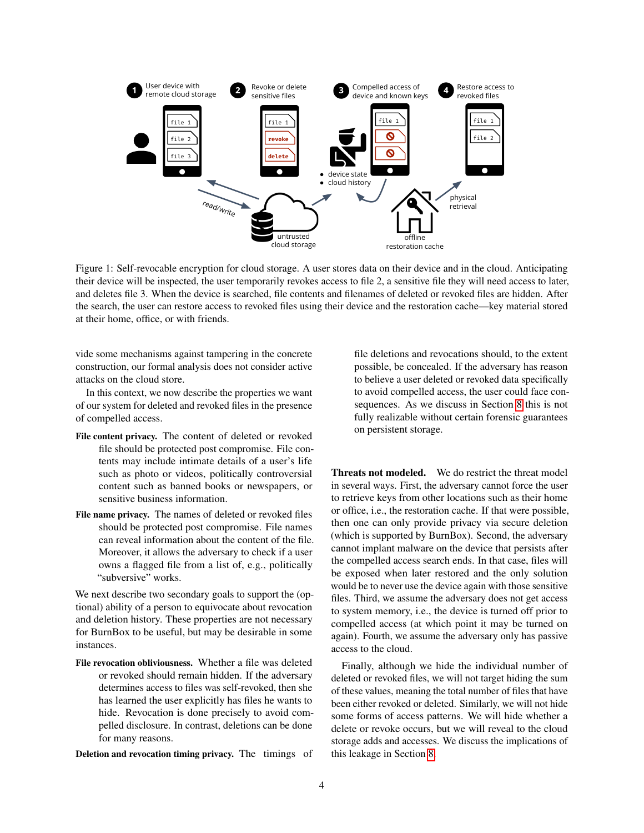<span id="page-3-0"></span>

Figure 1: Self-revocable encryption for cloud storage. A user stores data on their device and in the cloud. Anticipating their device will be inspected, the user temporarily revokes access to file 2, a sensitive file they will need access to later, and deletes file 3. When the device is searched, file contents and filenames of deleted or revoked files are hidden. After the search, the user can restore access to revoked files using their device and the restoration cache—key material stored at their home, office, or with friends.

construction, our formal analysis does not consider active **Show are possible**, be concealed. If the adve vide some mechanisms against tampering in the concrete attacks on the cloud store.

In this context, we now describe the properties we want  $F_{\alpha\mu}$  deleted and noted to define in the nucle of our system for deleted and revoked files in the presence of compelled access.

- **Pseudonymous Operation History Regime** file should be protected post compromise. File contents may include intimate details of a user's life -<br>shoto on vidage molitically controversiel such as photo or videos, politically controversial content such as banned books or newspapers, or File content privacy. The content of deleted or revoked sensitive business information.
- File name privacy. The names of deleted or revoked files should be protected post compromise. File names can reveal information about the content of the file. Moreover, it allows the adversary to check if a user owns a flagged file from a list of, e.g., politically "subversive" works.

We next describe two secondary goals to support the (optional) ability of a person to equivocate about revocation and deletion history. These properties are not necessary for BurnBox to be useful, but may be desirable in some instances.

File revocation obliviousness. Whether a file was deleted or revoked should remain hidden. If the adversary determines access to files was self-revoked, then she has learned the user explicitly has files he wants to hide. Revocation is done precisely to avoid compelled disclosure. In contrast, deletions can be done for many reasons.

Deletion and revocation timing privacy. The timings of

to avoid compelled access, the user could face con-sequences. As we discuss in Section [8](#page-12-0) this is not sequences. The we disease in security of this is not<br>fully realizable without certain forensic guarantees on persistent storage. file deletions and revocations should, to the extent possible, be concealed. If the adversary has reason to believe a user deleted or revoked data specifically

ver it allows the adversary to check if a user cannot implant malware on the device that persists after **Threats not modeled.** We do restrict the threat model in several ways. First, the adversary cannot force the user to retrieve keys from other locations such as their home or office, i.e., the restoration cache. If that were possible, then one can only provide privacy via secure deletion (which is supported by BurnBox). Second, the adversary the compelled access search ends. In that case, files will be exposed when later restored and the only solution would be to never use the device again with those sensitive files. Third, we assume the adversary does not get access to system memory, i.e., the device is turned off prior to compelled access (at which point it may be turned on again). Fourth, we assume the adversary only has passive access to the cloud.

> Finally, although we hide the individual number of deleted or revoked files, we will not target hiding the sum of these values, meaning the total number of files that have been either revoked or deleted. Similarly, we will not hide some forms of access patterns. We will hide whether a delete or revoke occurs, but we will reveal to the cloud storage adds and accesses. We discuss the implications of this leakage in Section [8.](#page-12-0)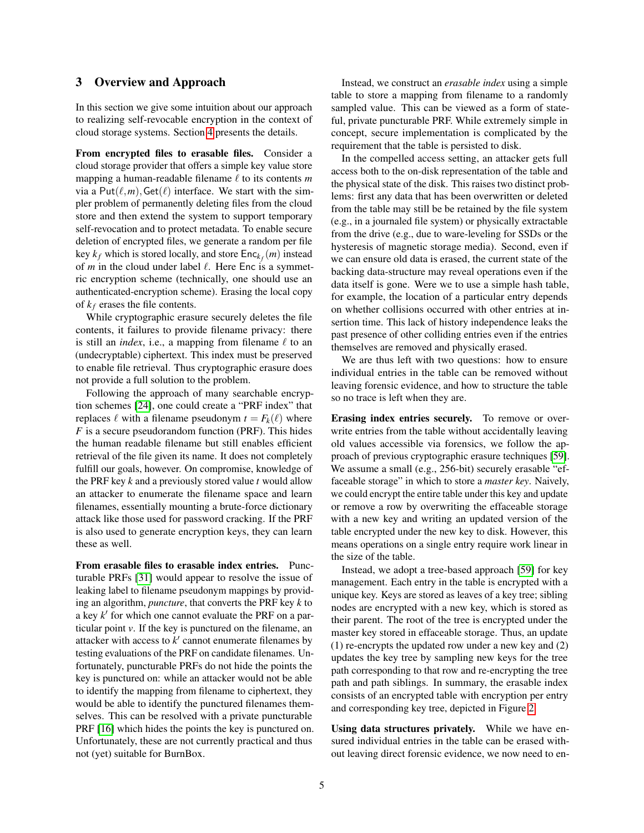## <span id="page-4-0"></span>3 Overview and Approach

In this section we give some intuition about our approach to realizing self-revocable encryption in the context of cloud storage systems. Section [4](#page-5-0) presents the details.

From encrypted files to erasable files. Consider a cloud storage provider that offers a simple key value store mapping a human-readable filename  $\ell$  to its contents  $m$ via a  $Put(\ell,m), Get(\ell)$  interface. We start with the simpler problem of permanently deleting files from the cloud store and then extend the system to support temporary self-revocation and to protect metadata. To enable secure deletion of encrypted files, we generate a random per file key  $k_f$  which is stored locally, and store  $Enc_{k_f}(m)$  instead of  $m$  in the cloud under label  $\ell$ . Here Enc is a symmetric encryption scheme (technically, one should use an authenticated-encryption scheme). Erasing the local copy of  $k_f$  erases the file contents.

While cryptographic erasure securely deletes the file contents, it failures to provide filename privacy: there is still an *index*, i.e., a mapping from filename  $\ell$  to an (undecryptable) ciphertext. This index must be preserved to enable file retrieval. Thus cryptographic erasure does not provide a full solution to the problem.

Following the approach of many searchable encryption schemes [\[24\]](#page-14-4), one could create a "PRF index" that replaces  $\ell$  with a filename pseudonym  $t = F_k(\ell)$  where *F* is a secure pseudorandom function (PRF). This hides the human readable filename but still enables efficient retrieval of the file given its name. It does not completely fulfill our goals, however. On compromise, knowledge of the PRF key *k* and a previously stored value *t* would allow an attacker to enumerate the filename space and learn filenames, essentially mounting a brute-force dictionary attack like those used for password cracking. If the PRF is also used to generate encryption keys, they can learn these as well.

From erasable files to erasable index entries. Puncturable PRFs [\[31\]](#page-15-14) would appear to resolve the issue of leaking label to filename pseudonym mappings by providing an algorithm, *puncture*, that converts the PRF key *k* to a key *k*<sup>*'*</sup> for which one cannot evaluate the PRF on a particular point *v*. If the key is punctured on the filename, an attacker with access to  $k'$  cannot enumerate filenames by testing evaluations of the PRF on candidate filenames. Unfortunately, puncturable PRFs do not hide the points the key is punctured on: while an attacker would not be able to identify the mapping from filename to ciphertext, they would be able to identify the punctured filenames themselves. This can be resolved with a private puncturable PRF [\[16\]](#page-14-12) which hides the points the key is punctured on. Unfortunately, these are not currently practical and thus not (yet) suitable for BurnBox.

Instead, we construct an *erasable index* using a simple table to store a mapping from filename to a randomly sampled value. This can be viewed as a form of stateful, private puncturable PRF. While extremely simple in concept, secure implementation is complicated by the requirement that the table is persisted to disk.

In the compelled access setting, an attacker gets full access both to the on-disk representation of the table and the physical state of the disk. This raises two distinct problems: first any data that has been overwritten or deleted from the table may still be be retained by the file system (e.g., in a journaled file system) or physically extractable from the drive (e.g., due to ware-leveling for SSDs or the hysteresis of magnetic storage media). Second, even if we can ensure old data is erased, the current state of the backing data-structure may reveal operations even if the data itself is gone. Were we to use a simple hash table, for example, the location of a particular entry depends on whether collisions occurred with other entries at insertion time. This lack of history independence leaks the past presence of other colliding entries even if the entries themselves are removed and physically erased.

We are thus left with two questions: how to ensure individual entries in the table can be removed without leaving forensic evidence, and how to structure the table so no trace is left when they are.

Erasing index entries securely. To remove or overwrite entries from the table without accidentally leaving old values accessible via forensics, we follow the approach of previous cryptographic erasure techniques [\[59\]](#page-16-9). We assume a small (e.g., 256-bit) securely erasable "effaceable storage" in which to store a *master key*. Naively, we could encrypt the entire table under this key and update or remove a row by overwriting the effaceable storage with a new key and writing an updated version of the table encrypted under the new key to disk. However, this means operations on a single entry require work linear in the size of the table.

Instead, we adopt a tree-based approach [\[59\]](#page-16-9) for key management. Each entry in the table is encrypted with a unique key. Keys are stored as leaves of a key tree; sibling nodes are encrypted with a new key, which is stored as their parent. The root of the tree is encrypted under the master key stored in effaceable storage. Thus, an update (1) re-encrypts the updated row under a new key and (2) updates the key tree by sampling new keys for the tree path corresponding to that row and re-encrypting the tree path and path siblings. In summary, the erasable index consists of an encrypted table with encryption per entry and corresponding key tree, depicted in Figure [2.](#page-5-1)

Using data structures privately. While we have ensured individual entries in the table can be erased without leaving direct forensic evidence, we now need to en-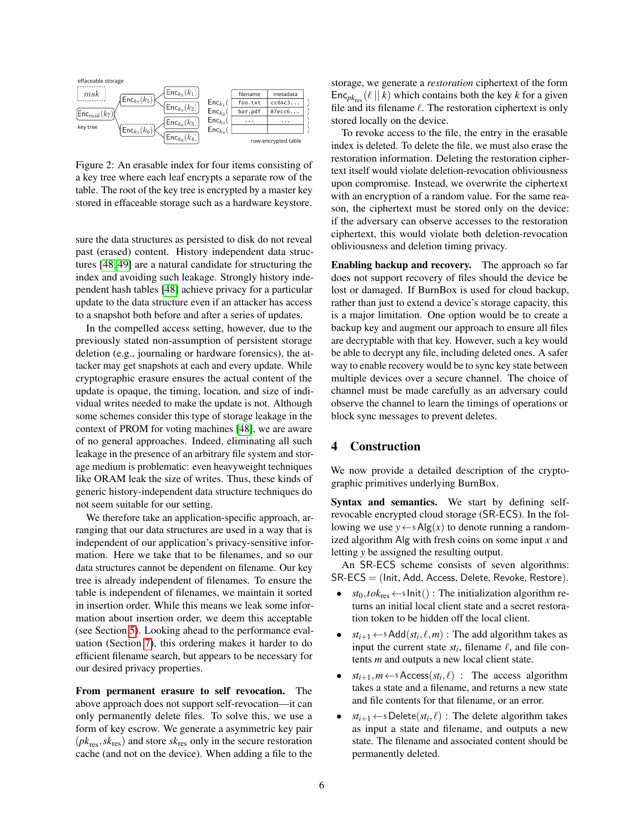<span id="page-5-1"></span>

Figure 2: An erasable index for four items consisting of a key tree where each leaf encrypts a separate row of the table. The root of the key tree is encrypted by a master key stored in effaceable storage such as a hardware keystore.

sure the data structures as persisted to disk do not reveal past (erased) content. History independent data structures [\[48,](#page-15-2) [49\]](#page-15-3) are a natural candidate for structuring the index and avoiding such leakage. Strongly history independent hash tables [\[48\]](#page-15-2) achieve privacy for a particular update to the data structure even if an attacker has access to a snapshot both before and after a series of updates.

In the compelled access setting, however, due to the previously stated non-assumption of persistent storage deletion (e.g., journaling or hardware forensics), the attacker may get snapshots at each and every update. While cryptographic erasure ensures the actual content of the update is opaque, the timing, location, and size of individual writes needed to make the update is not. Although some schemes consider this type of storage leakage in the context of PROM for voting machines [\[48\]](#page-15-2), we are aware of no general approaches. Indeed, eliminating all such leakage in the presence of an arbitrary file system and storage medium is problematic: even heavyweight techniques like ORAM leak the size of writes. Thus, these kinds of generic history-independent data structure techniques do not seem suitable for our setting.

We therefore take an application-specific approach, arranging that our data structures are used in a way that is independent of our application's privacy-sensitive information. Here we take that to be filenames, and so our data structures cannot be dependent on filename. Our key tree is already independent of filenames. To ensure the table is independent of filenames, we maintain it sorted in insertion order. While this means we leak some information about insertion order, we deem this acceptable (see Section [5\)](#page-6-0). Looking ahead to the performance evaluation (Section [7\)](#page-11-0), this ordering makes it harder to do efficient filename search, but appears to be necessary for our desired privacy properties.

From permanent erasure to self revocation. The above approach does not support self-revocation—it can only permanently delete files. To solve this, we use a form of key escrow. We generate a asymmetric key pair  $(pk_{res}, sk_{res})$  and store  $sk_{res}$  only in the secure restoration cache (and not on the device). When adding a file to the storage, we generate a *restoration* ciphertext of the form  $Enc_{pk_{res}}(\ell || k)$  which contains both the key *k* for a given file and its filename  $\ell$ . The restoration ciphertext is only stored locally on the device.

To revoke access to the file, the entry in the erasable index is deleted. To delete the file, we must also erase the restoration information. Deleting the restoration ciphertext itself would violate deletion-revocation obliviousness upon compromise. Instead, we overwrite the ciphertext with an encryption of a random value. For the same reason, the ciphertext must be stored only on the device: if the adversary can observe accesses to the restoration ciphertext, this would violate both deletion-revocation obliviousness and deletion timing privacy.

Enabling backup and recovery. The approach so far does not support recovery of files should the device be lost or damaged. If BurnBox is used for cloud backup, rather than just to extend a device's storage capacity, this is a major limitation. One option would be to create a backup key and augment our approach to ensure all files are decryptable with that key. However, such a key would be able to decrypt any file, including deleted ones. A safer way to enable recovery would be to sync key state between multiple devices over a secure channel. The choice of channel must be made carefully as an adversary could observe the channel to learn the timings of operations or block sync messages to prevent deletes.

## <span id="page-5-0"></span>4 Construction

We now provide a detailed description of the cryptographic primitives underlying BurnBox.

Syntax and semantics. We start by defining selfrevocable encrypted cloud storage (SR-ECS). In the following we use  $y \leftarrow s \text{Alg}(x)$  to denote running a randomized algorithm Alg with fresh coins on some input *x* and letting *y* be assigned the resulting output.

An SR-ECS scheme consists of seven algorithms: SR-ECS = (Init, Add, Access, Delete, Revoke, Restore).

- $st_0, tok_{res} \leftarrow sInit()$ : The initialization algorithm returns an initial local client state and a secret restoration token to be hidden off the local client.
- *st*<sub>*i*+1</sub>  $\leftarrow$  sAdd(*st*<sub>*i*</sub>,  $\ell$ , *m*) : The add algorithm takes as input the current state  $st_i$ , filename  $\ell$ , and file contents *m* and outputs a new local client state.
- $st_{i+1}, m \leftarrow s \text{Access}(st_i, \ell)$ : The access algorithm takes a state and a filename, and returns a new state and file contents for that filename, or an error.
- $st_{i+1} \leftarrow s$  Delete $(st_i, \ell)$ : The delete algorithm takes as input a state and filename, and outputs a new state. The filename and associated content should be permanently deleted.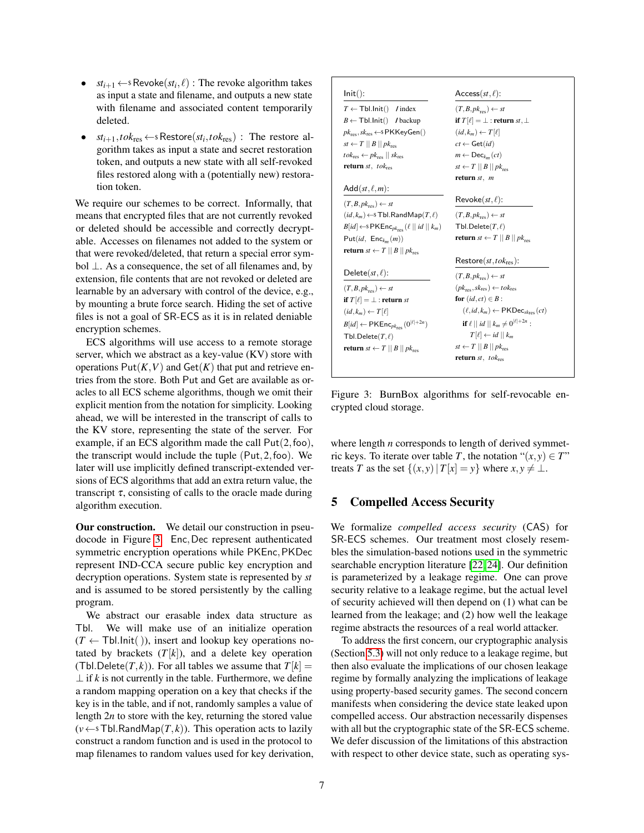- $st_{i+1} \leftarrow s$  Revoke $(st_i, \ell)$ : The revoke algorithm takes as input a state and filename, and outputs a new state with filename and associated content temporarily deleted.
- $st_{i+1}$ ,  $tok_{res} \leftarrow s$  Restore $(st_i, tok_{res})$ : The restore algorithm takes as input a state and secret restoration token, and outputs a new state with all self-revoked files restored along with a (potentially new) restoration token.

We require our schemes to be correct. Informally, that means that encrypted files that are not currently revoked or deleted should be accessible and correctly decryptable. Accesses on filenames not added to the system or that were revoked/deleted, that return a special error symbol ⊥. As a consequence, the set of all filenames and, by extension, file contents that are not revoked or deleted are learnable by an adversary with control of the device, e.g., by mounting a brute force search. Hiding the set of active files is not a goal of SR-ECS as it is in related deniable encryption schemes.

ECS algorithms will use access to a remote storage server, which we abstract as a key-value (KV) store with operations  $Put(K, V)$  and  $Get(K)$  that put and retrieve entries from the store. Both Put and Get are available as oracles to all ECS scheme algorithms, though we omit their explicit mention from the notation for simplicity. Looking ahead, we will be interested in the transcript of calls to the KV store, representing the state of the server. For example, if an ECS algorithm made the call  $Put(2, foo)$ , the transcript would include the tuple (Put,2,foo). We later will use implicitly defined transcript-extended versions of ECS algorithms that add an extra return value, the transcript  $\tau$ , consisting of calls to the oracle made during algorithm execution.

Our construction. We detail our construction in pseudocode in Figure [3.](#page-6-1) Enc,Dec represent authenticated symmetric encryption operations while PKEnc, PKDec represent IND-CCA secure public key encryption and decryption operations. System state is represented by *st* and is assumed to be stored persistently by the calling program.

We abstract our erasable index data structure as Tbl. We will make use of an initialize operation  $(T \leftarrow \text{Tbl}.\text{Init}()$ , insert and lookup key operations notated by brackets  $(T[k])$ , and a delete key operation (Tbl.Delete( $T, k$ )). For all tables we assume that  $T[k] =$  $\perp$  if *k* is not currently in the table. Furthermore, we define a random mapping operation on a key that checks if the key is in the table, and if not, randomly samples a value of length 2*n* to store with the key, returning the stored value  $(v \leftarrow s \text{Tbl.RandMap}(T, k))$ . This operation acts to lazily construct a random function and is used in the protocol to map filenames to random values used for key derivation,

<span id="page-6-1"></span>

| $Init()$ :                                                                                           | $Access(st, \ell)$ :                                           |
|------------------------------------------------------------------------------------------------------|----------------------------------------------------------------|
| $T \leftarrow \text{Tbl-Init}()$<br>$/$ index                                                        | $(T, B, pk_{\text{rec}}) \leftarrow st$                        |
| $B \leftarrow \text{Tbl}.\text{Init}()$ / backup                                                     | if $T[\ell] = \bot$ : return st, $\bot$                        |
| $pk_{\text{res}}$ , $sk_{\text{res}} \leftarrow s$ PKKeyGen()                                        | $(id, k_m) \leftarrow T[\ell]$                                 |
| $st \leftarrow T \mid B \mid p k_{\text{rec}}$                                                       | $ct \leftarrow \mathsf{Get}(id)$                               |
| $tok_{\text{res}} \leftarrow pk_{\text{res}} \mid sk_{\text{res}}$                                   | $m \leftarrow \mathsf{Dec}_{km}(ct)$                           |
| return $st$ , $tok_{res}$                                                                            | $st \leftarrow T \parallel B \parallel pk_{rec}$               |
|                                                                                                      | return $st$ , $m$                                              |
| $Add(st, \ell, m)$ :                                                                                 |                                                                |
| $(T, B, pk_{res}) \leftarrow st$                                                                     | $Revoke(st, \ell)$ :                                           |
| $(id, k_m) \leftarrow$ Tbl.RandMap $(T, \ell)$                                                       | $(T, B, pk_{\text{rec}}) \leftarrow st$                        |
|                                                                                                      |                                                                |
| $B(id] \leftarrow$ SPKEnc <sub>pk<sub>res</sub> (<math>\ell \mid \mid id \mid \mid k_m</math>)</sub> | Tbl.Delete $(T,\ell)$                                          |
| $Put(id, Enc_{k_m}(m))$                                                                              | <b>return</b> $st \leftarrow T \parallel B \parallel pk_{res}$ |
| <b>return</b> $st \leftarrow T \mid B \mid p k_{res}$                                                |                                                                |
|                                                                                                      | $\mathsf{Restore}(st, tok_{\mathsf{res}})$ :                   |
| Delete $(st, \ell)$ :                                                                                | $(T, B, pk_{res}) \leftarrow st$                               |
| $(T, B, pk_{\text{rec}}) \leftarrow st$                                                              | $(pk_{res}, sk_{res}) \leftarrow tok_{res}$                    |
| if $T[\ell] = \perp$ : return st                                                                     | for $(id, ct) \in B$ :                                         |
| $(id, k_m) \leftarrow T[\ell]$                                                                       | $(\ell, id, k_m) \leftarrow \text{PKDec}_{skres}(ct)$          |
| $B(id] \leftarrow \mathsf{PKEnc}_{nk_{\mathsf{max}}}(0^{ \ell +2n})$                                 | <b>if</b> $\ell$    <i>id</i>    $k_m \neq 0^{ \ell +2n}$ :    |
| Tbl.Delete $(T, \ell)$                                                                               | $T[\ell] \leftarrow id    k_m$                                 |
| <b>return</b> $st \leftarrow T \parallel B \parallel pk_{res}$                                       | $st \leftarrow T \parallel B \parallel pk_{res}$               |
|                                                                                                      | <b>return</b> st, tok <sub>res</sub>                           |

Figure 3: BurnBox algorithms for self-revocable encrypted cloud storage.

where length *n* corresponds to length of derived symmetric keys. To iterate over table *T*, the notation " $(x, y) \in T$ " treats *T* as the set  $\{(x, y) | T[x] = y\}$  where  $x, y \neq \bot$ .

## <span id="page-6-0"></span>5 Compelled Access Security

We formalize *compelled access security* (CAS) for SR-ECS schemes. Our treatment most closely resembles the simulation-based notions used in the symmetric searchable encryption literature [\[22,](#page-14-3) [24\]](#page-14-4). Our definition is parameterized by a leakage regime. One can prove security relative to a leakage regime, but the actual level of security achieved will then depend on (1) what can be learned from the leakage; and (2) how well the leakage regime abstracts the resources of a real world attacker.

To address the first concern, our cryptographic analysis (Section [5.3\)](#page-8-0) will not only reduce to a leakage regime, but then also evaluate the implications of our chosen leakage regime by formally analyzing the implications of leakage using property-based security games. The second concern manifests when considering the device state leaked upon compelled access. Our abstraction necessarily dispenses with all but the cryptographic state of the SR-ECS scheme. We defer discussion of the limitations of this abstraction with respect to other device state, such as operating sys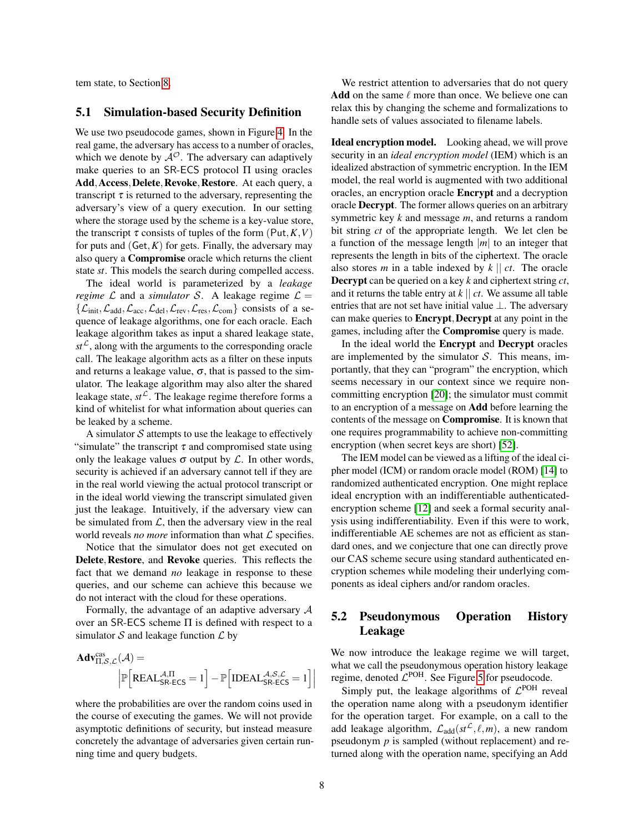tem state, to Section [8.](#page-12-0)

#### 5.1 Simulation-based Security Definition

We use two pseudocode games, shown in Figure [4.](#page-8-1) In the real game, the adversary has access to a number of oracles, which we denote by  $A^{\mathcal{O}}$ . The adversary can adaptively make queries to an SR-ECS protocol Π using oracles Add, Access, Delete, Revoke, Restore. At each query, a transcript  $\tau$  is returned to the adversary, representing the adversary's view of a query execution. In our setting where the storage used by the scheme is a key-value store, the transcript  $\tau$  consists of tuples of the form (Put,  $K$ ,  $V$ ) for puts and  $(Get, K)$  for gets. Finally, the adversary may also query a Compromise oracle which returns the client state *st*. This models the search during compelled access.

The ideal world is parameterized by a *leakage regime*  $\mathcal L$  and a *simulator*  $\mathcal S$ . A leakage regime  $\mathcal L$  =  $\{\mathcal{L}_{init},\mathcal{L}_{add},\mathcal{L}_{acc},\mathcal{L}_{del},\mathcal{L}_{rev},\mathcal{L}_{res},\mathcal{L}_{com}\}\)$  consists of a sequence of leakage algorithms, one for each oracle. Each leakage algorithm takes as input a shared leakage state,  $st^{\mathcal{L}}$ , along with the arguments to the corresponding oracle call. The leakage algorithm acts as a filter on these inputs and returns a leakage value,  $\sigma$ , that is passed to the simulator. The leakage algorithm may also alter the shared leakage state,  $st^{\mathcal{L}}$ . The leakage regime therefore forms a kind of whitelist for what information about queries can be leaked by a scheme.

A simulator  $S$  attempts to use the leakage to effectively "simulate" the transcript  $\tau$  and compromised state using only the leakage values  $\sigma$  output by  $\mathcal L$ . In other words, security is achieved if an adversary cannot tell if they are in the real world viewing the actual protocol transcript or in the ideal world viewing the transcript simulated given just the leakage. Intuitively, if the adversary view can be simulated from  $\mathcal{L}$ , then the adversary view in the real world reveals *no more* information than what  $\mathcal L$  specifies.

Notice that the simulator does not get executed on Delete, Restore, and Revoke queries. This reflects the fact that we demand *no* leakage in response to these queries, and our scheme can achieve this because we do not interact with the cloud for these operations.

Formally, the advantage of an adaptive adversary A over an SR-ECS scheme Π is defined with respect to a simulator  $S$  and leakage function  $\mathcal L$  by

$$
\begin{aligned} \mathbf{Adv}_{\Pi,\mathcal{S},\mathcal{L}}^{cas}(\mathcal{A}) = \\ & \Big|\mathbb{P}\Big[\text{REAL}_{\mathsf{S}\mathsf{R}\text{-}\mathsf{ECS}}^{\mathcal{A},\Pi} = 1\Big] - \mathbb{P}\Big[\text{IDEAL}_{\mathsf{S}\mathsf{R}\text{-}\mathsf{ECS}}^{\mathcal{A},\mathcal{S},\mathcal{L}} = 1\Big]\Big| \end{aligned}
$$

where the probabilities are over the random coins used in the course of executing the games. We will not provide asymptotic definitions of security, but instead measure concretely the advantage of adversaries given certain running time and query budgets.

We restrict attention to adversaries that do not query Add on the same  $\ell$  more than once. We believe one can relax this by changing the scheme and formalizations to handle sets of values associated to filename labels.

Ideal encryption model. Looking ahead, we will prove security in an *ideal encryption model* (IEM) which is an idealized abstraction of symmetric encryption. In the IEM model, the real world is augmented with two additional oracles, an encryption oracle Encrypt and a decryption oracle Decrypt. The former allows queries on an arbitrary symmetric key *k* and message *m*, and returns a random bit string *ct* of the appropriate length. We let clen be a function of the message length |*m*| to an integer that represents the length in bits of the ciphertext. The oracle also stores *m* in a table indexed by *k* || *ct*. The oracle Decrypt can be queried on a key *k* and ciphertext string *ct*, and it returns the table entry at *k* || *ct*. We assume all table entries that are not set have initial value ⊥. The adversary can make queries to **Encrypt**, **Decrypt** at any point in the games, including after the Compromise query is made.

In the ideal world the Encrypt and Decrypt oracles are implemented by the simulator  $S$ . This means, importantly, that they can "program" the encryption, which seems necessary in our context since we require noncommitting encryption [\[20\]](#page-14-8); the simulator must commit to an encryption of a message on Add before learning the contents of the message on Compromise. It is known that one requires programmability to achieve non-committing encryption (when secret keys are short) [\[52\]](#page-15-15).

The IEM model can be viewed as a lifting of the ideal cipher model (ICM) or random oracle model (ROM) [\[14\]](#page-14-13) to randomized authenticated encryption. One might replace ideal encryption with an indifferentiable authenticatedencryption scheme [\[12\]](#page-14-14) and seek a formal security analysis using indifferentiability. Even if this were to work, indifferentiable AE schemes are not as efficient as standard ones, and we conjecture that one can directly prove our CAS scheme secure using standard authenticated encryption schemes while modeling their underlying components as ideal ciphers and/or random oracles.

# 5.2 Pseudonymous Operation History Leakage

We now introduce the leakage regime we will target, what we call the pseudonymous operation history leakage regime, denoted  $\mathcal{L}^{\text{POH}}$ . See Figure [5](#page-9-0) for pseudocode.

Simply put, the leakage algorithms of  $\mathcal{L}^{\text{POH}}$  reveal the operation name along with a pseudonym identifier for the operation target. For example, on a call to the add leakage algorithm,  $\mathcal{L}_{add}(st^{\mathcal{L}}, \ell, m)$ , a new random pseudonym *p* is sampled (without replacement) and returned along with the operation name, specifying an Add

I  $\overline{\phantom{a}}$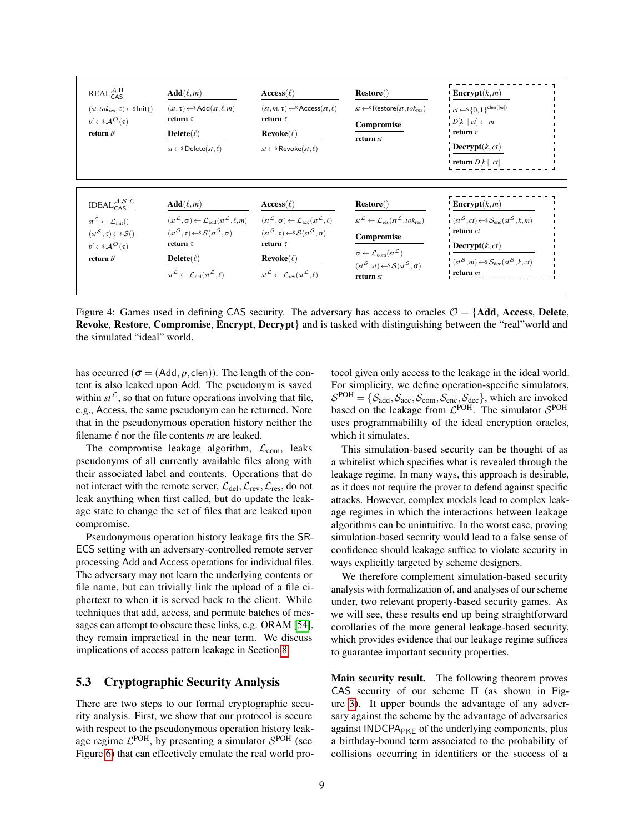<span id="page-8-1"></span>

| $REALCASA,\Pi$<br>$(st, tok_{\text{res}}, \tau) \leftarrow$ s Init()<br>$b' \leftarrow s \mathcal{A}^{\mathcal{O}}(\tau)$<br>return $b'$                                                                                             | $Add(\ell,m)$<br>$(st, \tau) \leftarrow$ Add $(st, \ell, m)$<br>return $\tau$<br>$Delete(\ell)$<br>$st \leftarrow$ S Delete $(st, \ell)$                                                                                                                                                                   | $\mathrm{Access}(\ell)$<br>$(st, m, \tau) \leftarrow$ Access $(st, \ell)$<br>return $\tau$<br>$\bf{Re}$ voke $(\ell)$<br>$st \leftarrow$ Revoke $(st, \ell)$                                                                                                                                                               | $Res()$<br>$st \leftarrow$ Restore( $st, tok_{res}$ )<br>Compromise<br>return st                                                                                                                                                                                      | <b>Encrypt</b> $(k,m)$<br>$\mid \, ct \leftarrow \$ {0,1\}^{\mathsf{clen}( m )}<br>$D[k    ct] \leftarrow m$<br>return $r$<br>$\mathbf{Decrypt}(k, ct)$<br>$\mid$ return $D[k \mid c t]$                 |
|--------------------------------------------------------------------------------------------------------------------------------------------------------------------------------------------------------------------------------------|------------------------------------------------------------------------------------------------------------------------------------------------------------------------------------------------------------------------------------------------------------------------------------------------------------|----------------------------------------------------------------------------------------------------------------------------------------------------------------------------------------------------------------------------------------------------------------------------------------------------------------------------|-----------------------------------------------------------------------------------------------------------------------------------------------------------------------------------------------------------------------------------------------------------------------|----------------------------------------------------------------------------------------------------------------------------------------------------------------------------------------------------------|
| IDEAL $^{A,\mathcal{S},\mathcal{L}}_{\mathsf{CAS}}$<br>$st^{\mathcal{L}} \leftarrow \mathcal{L}_{init}()$<br>$(st^{\mathcal{S}}, \tau) \leftarrow s\mathcal{S}($<br>$b' \leftarrow s \mathcal{A}^{\mathcal{O}}(\tau)$<br>return $b'$ | $Add(\ell,m)$<br>$(st^{\mathcal{L}}, \sigma) \leftarrow \mathcal{L}_{\text{add}}(st^{\mathcal{L}}, \ell, m)$<br>$(st^{\mathcal{S}}, \tau) \leftarrow s\mathcal{S}(st^{\mathcal{S}}, \sigma)$<br>return $\tau$<br>$Delete(\ell)$<br>$st^{\mathcal{L}} \leftarrow \mathcal{L}_{del}(st^{\mathcal{L}}, \ell)$ | $\mathrm{Access}(\ell)$<br>$(st^{\mathcal{L}}, \sigma) \leftarrow \mathcal{L}_{\text{acc}}(st^{\mathcal{L}}, \ell)$<br>$(st^{\mathcal{S}}, \tau) \leftarrow s\mathcal{S}(st^{\mathcal{S}}, \sigma)$<br>return $\tau$<br>$\bf{Re}$ voke $(\ell)$<br>$st^{\mathcal{L}} \leftarrow \mathcal{L}_{rev}(st^{\mathcal{L}}, \ell)$ | <b>Restore</b> ()<br>$st^{\mathcal{L}} \leftarrow \mathcal{L}_{res}(st^{\mathcal{L}}, tok_{res})$<br>Compromise<br>$\sigma \leftarrow \mathcal{L}_{com}(st^{\mathcal{L}})$<br>$(st^{\mathcal{S}}, st) \leftarrow s\mathcal{S}(st^{\mathcal{S}}, \sigma)$<br>return st | <b>Encrypt</b> $(k,m)$<br>$(s t^S, ct) \leftarrow s S_{enc}(st^S, k, m)$<br>return ct<br><b>Decrypt</b> $(k, ct)$<br>$(s t^S, m) \leftarrow s \mathcal{S}_{\text{dec}}(st^S, k, ct)$<br>$\vert$ return m |

Figure 4: Games used in defining CAS security. The adversary has access to oracles  $\mathcal{O} = \{Add, Access, Delete,$ Revoke, Restore, Compromise, Encrypt, Decrypt} and is tasked with distinguishing between the "real"world and the simulated "ideal" world.

has occurred ( $\sigma$  = (Add, *p*, clen)). The length of the content is also leaked upon Add. The pseudonym is saved within  $st^{\mathcal{L}}$ , so that on future operations involving that file, e.g., Access, the same pseudonym can be returned. Note that in the pseudonymous operation history neither the filename  $\ell$  nor the file contents  $m$  are leaked.

The compromise leakage algorithm,  $\mathcal{L}_{com}$ , leaks pseudonyms of all currently available files along with their associated label and contents. Operations that do not interact with the remote server,  $\mathcal{L}_{del}, \mathcal{L}_{rev}, \mathcal{L}_{res}$ , do not leak anything when first called, but do update the leakage state to change the set of files that are leaked upon compromise.

Pseudonymous operation history leakage fits the SR-ECS setting with an adversary-controlled remote server processing Add and Access operations for individual files. The adversary may not learn the underlying contents or file name, but can trivially link the upload of a file ciphertext to when it is served back to the client. While techniques that add, access, and permute batches of messages can attempt to obscure these links, e.g. ORAM [\[54\]](#page-15-16), they remain impractical in the near term. We discuss implications of access pattern leakage in Section [8.](#page-12-0)

## <span id="page-8-0"></span>5.3 Cryptographic Security Analysis

There are two steps to our formal cryptographic security analysis. First, we show that our protocol is secure with respect to the pseudonymous operation history leakage regime  $\mathcal{L}^{\text{POH}}$ , by presenting a simulator  $\mathcal{S}^{\text{POH}}$  (see Figure [6\)](#page-9-1) that can effectively emulate the real world protocol given only access to the leakage in the ideal world. For simplicity, we define operation-specific simulators,  $S^{\text{POH}} = \{S_{\text{add}}, S_{\text{acc}}, S_{\text{com}}, S_{\text{enc}}, S_{\text{dec}}\}$ , which are invoked based on the leakage from  $\mathcal{L}^{POH}$ . The simulator  $\mathcal{S}^{POH}$ uses programmabililty of the ideal encryption oracles, which it simulates.

This simulation-based security can be thought of as a whitelist which specifies what is revealed through the leakage regime. In many ways, this approach is desirable, as it does not require the prover to defend against specific attacks. However, complex models lead to complex leakage regimes in which the interactions between leakage algorithms can be unintuitive. In the worst case, proving simulation-based security would lead to a false sense of confidence should leakage suffice to violate security in ways explicitly targeted by scheme designers.

We therefore complement simulation-based security analysis with formalization of, and analyses of our scheme under, two relevant property-based security games. As we will see, these results end up being straightforward corollaries of the more general leakage-based security, which provides evidence that our leakage regime suffices to guarantee important security properties.

Main security result. The following theorem proves CAS security of our scheme Π (as shown in Figure [3\)](#page-6-1). It upper bounds the advantage of any adversary against the scheme by the advantage of adversaries against  $INDCPA<sub>PKE</sub>$  of the underlying components, plus a birthday-bound term associated to the probability of collisions occurring in identifiers or the success of a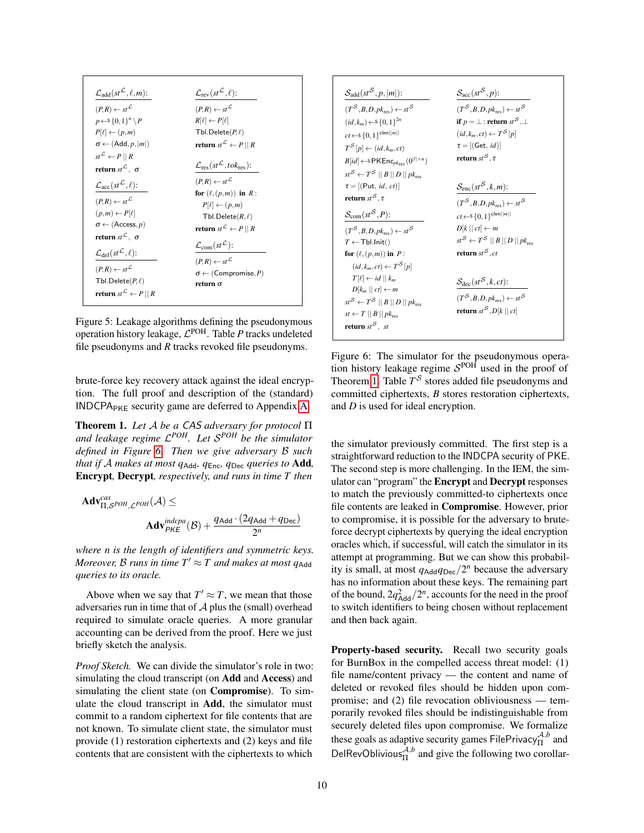<span id="page-9-0"></span>

| $\mathcal{L}_{add}(st^{\mathcal{L}},\ell,m)$ :                                      | $\mathcal{L}_{rev}(st^{\mathcal{L}}, \ell)$ :                    |
|-------------------------------------------------------------------------------------|------------------------------------------------------------------|
| $(P,R) \leftarrow st^{\mathcal{L}}$                                                 | $(P,R) \leftarrow st^{\mathcal{L}}$                              |
| $p \leftarrow S \{0,1\}^n \backslash P$                                             | $R[\ell] \leftarrow P[\ell]$                                     |
| $P[\ell] \leftarrow (p,m)$                                                          | Tbl.Delete $(P,\ell)$                                            |
| $\sigma \leftarrow (Add, p,  m )$                                                   | <b>return</b> $st^{\mathcal{L}} \leftarrow P \parallel R$        |
| $st^{\mathcal{L}} \leftarrow P \parallel R$<br>return $st^{\mathcal{L}}$ , $\sigma$ | $\mathcal{L}_{\text{res}}(st^{\mathcal{L}}, tok_{\text{res}})$ : |
| $\mathcal{L}_{\text{acc}}(st^{\mathcal{L}}, \ell)$ :                                | $(P,R) \leftarrow st^{\mathcal{L}}$<br>for $(\ell, (p,m))$ in R: |
| $(P,R) \leftarrow st^{\mathcal{L}}$                                                 | $P[\ell] \leftarrow (p,m)$                                       |
| $(p,m) \leftarrow P[\ell]$                                                          | Tbl.Delete $(R,\ell)$                                            |
| $\sigma \leftarrow (Access, p)$                                                     | <b>return</b> $st^{\mathcal{L}} \leftarrow P \parallel R$        |
| return st $^{\mathcal{L}}$ , $\sigma$                                               |                                                                  |
| $\mathcal{L}_{\text{del}}(st^{\mathcal{L}},\ell)$ :                                 | $\mathcal{L}_{com}(st^{\mathcal{L}})$ :                          |
| $(P,R) \leftarrow st^{\mathcal{L}}$                                                 | $(P,R) \leftarrow st^{\mathcal{L}}$                              |
|                                                                                     | $\sigma \leftarrow ( \text{Compromise}, P )$                     |
| Tbl.Delete $(P,\ell)$                                                               | return $\sigma$                                                  |
| return $st^{\mathcal{L}} \leftarrow P \mid\mid R$                                   |                                                                  |

Figure 5: Leakage algorithms defining the pseudonymous operation history leakage,  $\mathcal{L}^{\text{POH}}$ . Table P tracks undeleted file pseudonyms and *R* tracks revoked file pseudonyms.

brute-force key recovery attack against the ideal encryption. The full proof and description of the (standard)  $INDCPA<sub>PKE</sub> security game are deferred to Appendix A.$  $INDCPA<sub>PKE</sub> security game are deferred to Appendix A.$ 

<span id="page-9-2"></span>Theorem 1. *Let* A *be a* CAS *adversary for protocol* Π *and leakage regime* L *POH. Let* S *POH be the simulator defined in Figure [6.](#page-9-1) Then we give adversary* B *such that if* A *makes at most q*Add*, q*Enc*, q*Dec *queries to* Add*,* Encrypt*,* Decrypt*, respectively, and runs in time T then*

$$
\mathbf{Adv}_{\Pi, \mathcal{S}^{POH}, \mathcal{L}^{POH}}^{cas}(\mathcal{A}) \le
$$

$$
\mathbf{Adv}_{PKE}^{indcpa}(\mathcal{B}) + \frac{q_{\mathbf{Add}} \cdot (2q_{\mathbf{Add}} + q_{\mathbf{Dec}})}{2^n}
$$

*where n is the length of identifiers and symmetric keys. Moreover, B runs in time*  $T' \approx T$  *and makes at most*  $q_{\mathsf{Add}}$ *queries to its oracle.*

Above when we say that  $T' \approx T$ , we mean that those adversaries run in time that of  $A$  plus the (small) overhead required to simulate oracle queries. A more granular accounting can be derived from the proof. Here we just briefly sketch the analysis.

*Proof Sketch.* We can divide the simulator's role in two: simulating the cloud transcript (on Add and Access) and simulating the client state (on Compromise). To simulate the cloud transcript in Add, the simulator must commit to a random ciphertext for file contents that are not known. To simulate client state, the simulator must provide (1) restoration ciphertexts and (2) keys and file contents that are consistent with the ciphertexts to which

<span id="page-9-1"></span>

Figure 6: The simulator for the pseudonymous operation history leakage regime  $S<sup>POH</sup>$  used in the proof of Theorem [1.](#page-9-2) Table  $T^{\mathcal{S}}$  stores added file pseudonyms and committed ciphertexts, *B* stores restoration ciphertexts, and *D* is used for ideal encryption.

the simulator previously committed. The first step is a straightforward reduction to the INDCPA security of PKE. The second step is more challenging. In the IEM, the simulator can "program" the Encrypt and Decrypt responses to match the previously committed-to ciphertexts once file contents are leaked in Compromise. However, prior to compromise, it is possible for the adversary to bruteforce decrypt ciphertexts by querying the ideal encryption oracles which, if successful, will catch the simulator in its attempt at programming. But we can show this probability is small, at most  $q_{\text{Add}}q_{\text{Dec}}/2^n$  because the adversary has no information about these keys. The remaining part of the bound,  $2q_{\text{Add}}^2/2^n$ , accounts for the need in the proof to switch identifiers to being chosen without replacement and then back again.

Property-based security. Recall two security goals for BurnBox in the compelled access threat model: (1) file name/content privacy — the content and name of deleted or revoked files should be hidden upon compromise; and (2) file revocation obliviousness — temporarily revoked files should be indistinguishable from securely deleted files upon compromise. We formalize these goals as adaptive security games FilePrivacy $_{\Pi}^{\mathcal{A},b}$  and DelRevOblivious ${}_{\Pi}^{\mathcal{A},b}$  and give the following two corollar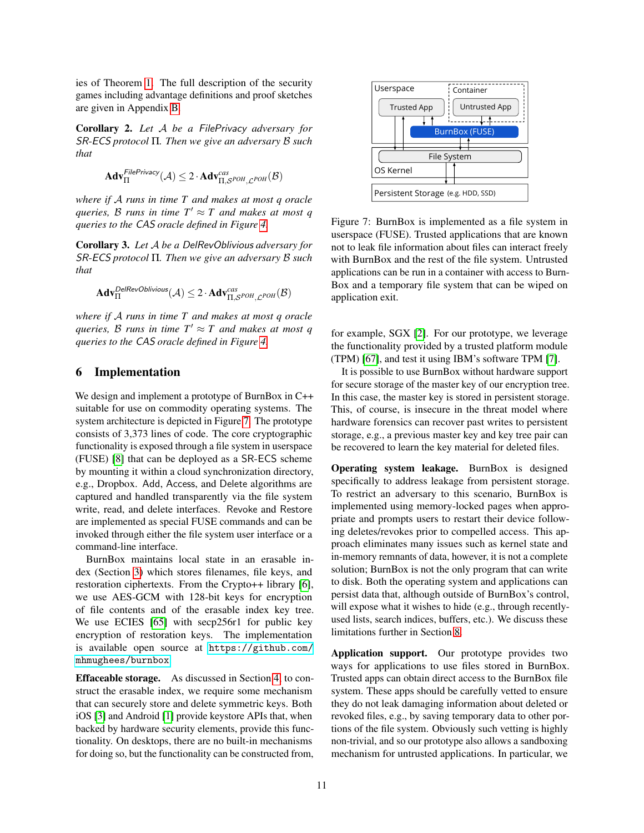ies of Theorem [1.](#page-9-2) The full description of the security games including advantage definitions and proof sketches are given in Appendix [B.](#page-19-0)

<span id="page-10-1"></span>Corollary 2. *Let* A *be a* FilePrivacy *adversary for* SR-ECS *protocol* Π*. Then we give an adversary* B *such that*

$$
\mathbf{Adv}_{\Pi}^{\mathsf{FilePrivacy}}(\mathcal{A}) \leq 2 \cdot \mathbf{Adv}_{\Pi, \mathcal{S}^{\mathit{POH}}, \mathcal{L}^{\mathit{POH}}}^{\mathit{cas}}(\mathcal{B})
$$

*where if* A *runs in time T and makes at most q oracle queries,* B runs in time  $T' \approx T$  and makes at most q *queries to the* CAS *oracle defined in Figure [4.](#page-8-1)*

<span id="page-10-2"></span>Corollary 3. *Let* A *be a* DelRevOblivious *adversary for* SR-ECS *protocol* Π*. Then we give an adversary* B *such that*

$$
\mathbf{Adv}^{\mathsf{DelRevOblivious}}_{\Pi}(\mathcal{A}) \leq 2 \cdot \mathbf{Adv}^{\mathsf{cas}}_{\Pi, \mathcal{S}^{\mathsf{POH}}, \mathcal{L}^{\mathsf{POH}}}(\mathcal{B})
$$

*where if* A *runs in time T and makes at most q oracle queries,* B runs in time  $T' \approx T$  and makes at most q *queries to the* CAS *oracle defined in Figure [4.](#page-8-1)*

## 6 Implementation

We design and implement a prototype of BurnBox in C++ suitable for use on commodity operating systems. The system architecture is depicted in Figure [7.](#page-10-0) The prototype consists of 3,373 lines of code. The core cryptographic functionality is exposed through a file system in userspace (FUSE) [\[8\]](#page-14-15) that can be deployed as a SR-ECS scheme by mounting it within a cloud synchronization directory, e.g., Dropbox. Add, Access, and Delete algorithms are captured and handled transparently via the file system write, read, and delete interfaces. Revoke and Restore are implemented as special FUSE commands and can be invoked through either the file system user interface or a command-line interface.

BurnBox maintains local state in an erasable index (Section [3\)](#page-4-0) which stores filenames, file keys, and restoration ciphertexts. From the Crypto++ library [\[6\]](#page-14-16), we use AES-GCM with 128-bit keys for encryption of file contents and of the erasable index key tree. We use ECIES [\[65\]](#page-16-11) with secp256r1 for public key encryption of restoration keys. The implementation is available open source at [https://github.com/](https://github.com/mhmughees/burnbox) [mhmughees/burnbox](https://github.com/mhmughees/burnbox).

Effaceable storage. As discussed in Section [4,](#page-5-0) to construct the erasable index, we require some mechanism that can securely store and delete symmetric keys. Both iOS [\[3\]](#page-14-17) and Android [\[1\]](#page-14-18) provide keystore APIs that, when backed by hardware security elements, provide this functionality. On desktops, there are no built-in mechanisms for doing so, but the functionality can be constructed from,

<span id="page-10-0"></span>

Figure 7: BurnBox is implemented as a file system in userspace (FUSE). Trusted applications that are known not to leak file information about files can interact freely with BurnBox and the rest of the file system. Untrusted applications can be run in a container with access to Burn-Box and a temporary file system that can be wiped on application exit.

for example, SGX [\[2\]](#page-14-19). For our prototype, we leverage the functionality provided by a trusted platform module (TPM) [\[67\]](#page-16-12), and test it using IBM's software TPM [\[7\]](#page-14-20).

It is possible to use BurnBox without hardware support for secure storage of the master key of our encryption tree. In this case, the master key is stored in persistent storage. This, of course, is insecure in the threat model where hardware forensics can recover past writes to persistent storage, e.g., a previous master key and key tree pair can be recovered to learn the key material for deleted files.

Operating system leakage. BurnBox is designed specifically to address leakage from persistent storage. To restrict an adversary to this scenario, BurnBox is implemented using memory-locked pages when appropriate and prompts users to restart their device following deletes/revokes prior to compelled access. This approach eliminates many issues such as kernel state and in-memory remnants of data, however, it is not a complete solution; BurnBox is not the only program that can write to disk. Both the operating system and applications can persist data that, although outside of BurnBox's control, will expose what it wishes to hide (e.g., through recentlyused lists, search indices, buffers, etc.). We discuss these limitations further in Section [8.](#page-12-0)

Application support. Our prototype provides two ways for applications to use files stored in BurnBox. Trusted apps can obtain direct access to the BurnBox file system. These apps should be carefully vetted to ensure they do not leak damaging information about deleted or revoked files, e.g., by saving temporary data to other portions of the file system. Obviously such vetting is highly non-trivial, and so our prototype also allows a sandboxing mechanism for untrusted applications. In particular, we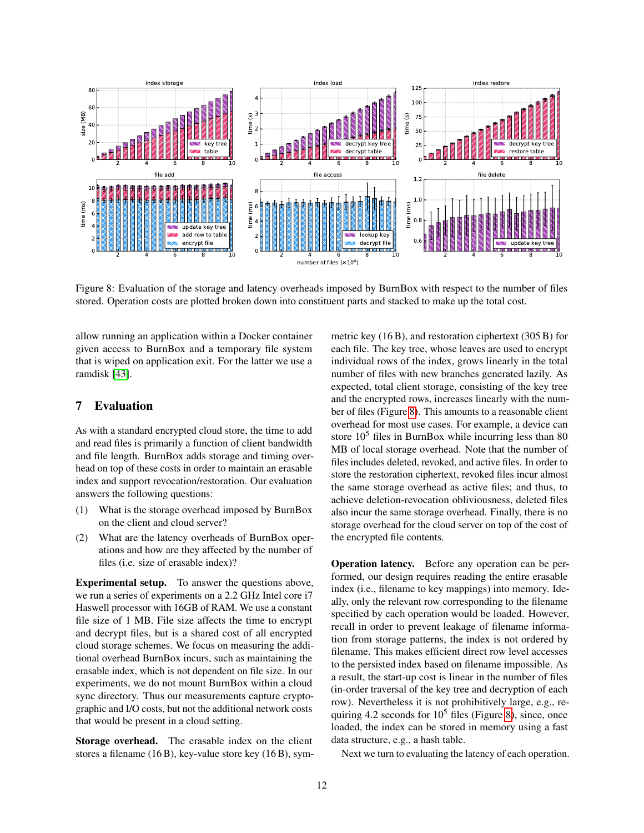<span id="page-11-1"></span>

Figure 8: Evaluation of the storage and latency overheads imposed by BurnBox with respect to the number of files stored. Operation costs are plotted broken down into constituent parts and stacked to make up the total cost.

allow running an application within a Docker container given access to BurnBox and a temporary file system that is wiped on application exit. For the latter we use a ramdisk [\[43\]](#page-15-17).

## <span id="page-11-0"></span>7 Evaluation

As with a standard encrypted cloud store, the time to add and read files is primarily a function of client bandwidth and file length. BurnBox adds storage and timing overhead on top of these costs in order to maintain an erasable index and support revocation/restoration. Our evaluation answers the following questions:

- (1) What is the storage overhead imposed by BurnBox on the client and cloud server?
- (2) What are the latency overheads of BurnBox operations and how are they affected by the number of files (i.e. size of erasable index)?

Experimental setup. To answer the questions above, we run a series of experiments on a 2.2 GHz Intel core i7 Haswell processor with 16GB of RAM. We use a constant file size of 1 MB. File size affects the time to encrypt and decrypt files, but is a shared cost of all encrypted cloud storage schemes. We focus on measuring the additional overhead BurnBox incurs, such as maintaining the erasable index, which is not dependent on file size. In our experiments, we do not mount BurnBox within a cloud sync directory. Thus our measurements capture cryptographic and I/O costs, but not the additional network costs that would be present in a cloud setting.

Storage overhead. The erasable index on the client stores a filename (16 B), key-value store key (16 B), symmetric key (16 B), and restoration ciphertext (305 B) for each file. The key tree, whose leaves are used to encrypt individual rows of the index, grows linearly in the total number of files with new branches generated lazily. As expected, total client storage, consisting of the key tree and the encrypted rows, increases linearly with the number of files (Figure [8\)](#page-11-1). This amounts to a reasonable client overhead for most use cases. For example, a device can store  $10<sup>5</sup>$  files in BurnBox while incurring less than 80 MB of local storage overhead. Note that the number of files includes deleted, revoked, and active files. In order to store the restoration ciphertext, revoked files incur almost the same storage overhead as active files; and thus, to achieve deletion-revocation obliviousness, deleted files also incur the same storage overhead. Finally, there is no storage overhead for the cloud server on top of the cost of the encrypted file contents.

Operation latency. Before any operation can be performed, our design requires reading the entire erasable index (i.e., filename to key mappings) into memory. Ideally, only the relevant row corresponding to the filename specified by each operation would be loaded. However, recall in order to prevent leakage of filename information from storage patterns, the index is not ordered by filename. This makes efficient direct row level accesses to the persisted index based on filename impossible. As a result, the start-up cost is linear in the number of files (in-order traversal of the key tree and decryption of each row). Nevertheless it is not prohibitively large, e.g., requiring 4.2 seconds for  $10^5$  files (Figure [8\)](#page-11-1), since, once loaded, the index can be stored in memory using a fast data structure, e.g., a hash table.

Next we turn to evaluating the latency of each operation.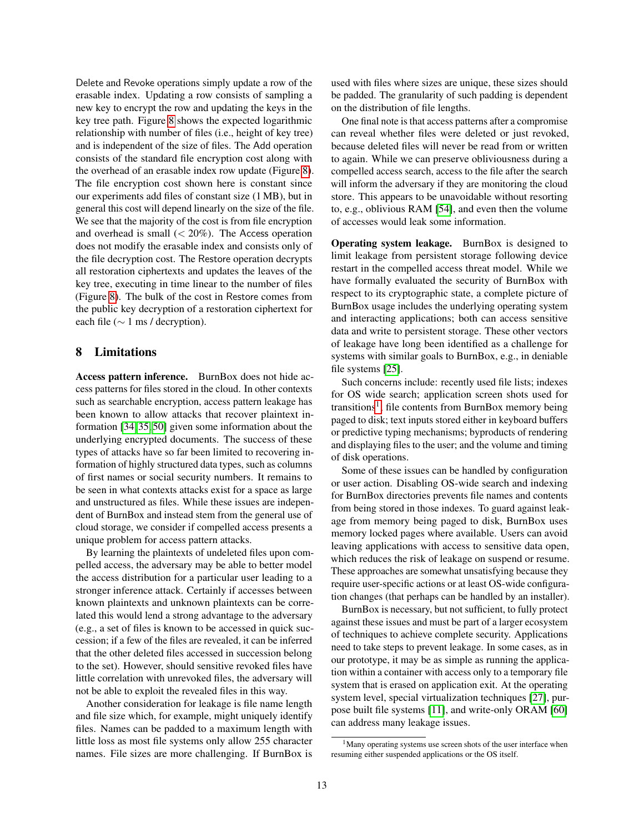Delete and Revoke operations simply update a row of the erasable index. Updating a row consists of sampling a new key to encrypt the row and updating the keys in the key tree path. Figure [8](#page-11-1) shows the expected logarithmic relationship with number of files (i.e., height of key tree) and is independent of the size of files. The Add operation consists of the standard file encryption cost along with the overhead of an erasable index row update (Figure [8\)](#page-11-1). The file encryption cost shown here is constant since our experiments add files of constant size (1 MB), but in general this cost will depend linearly on the size of the file. We see that the majority of the cost is from file encryption and overhead is small  $(< 20\%)$ . The Access operation does not modify the erasable index and consists only of the file decryption cost. The Restore operation decrypts all restoration ciphertexts and updates the leaves of the key tree, executing in time linear to the number of files (Figure [8\)](#page-11-1). The bulk of the cost in Restore comes from the public key decryption of a restoration ciphertext for each file ( $\sim$  1 ms / decryption).

## <span id="page-12-0"></span>8 Limitations

Access pattern inference. BurnBox does not hide access patterns for files stored in the cloud. In other contexts such as searchable encryption, access pattern leakage has been known to allow attacks that recover plaintext information [\[34,](#page-15-18) [35,](#page-15-19) [50\]](#page-15-20) given some information about the underlying encrypted documents. The success of these types of attacks have so far been limited to recovering information of highly structured data types, such as columns of first names or social security numbers. It remains to be seen in what contexts attacks exist for a space as large and unstructured as files. While these issues are independent of BurnBox and instead stem from the general use of cloud storage, we consider if compelled access presents a unique problem for access pattern attacks.

By learning the plaintexts of undeleted files upon compelled access, the adversary may be able to better model the access distribution for a particular user leading to a stronger inference attack. Certainly if accesses between known plaintexts and unknown plaintexts can be correlated this would lend a strong advantage to the adversary (e.g., a set of files is known to be accessed in quick succession; if a few of the files are revealed, it can be inferred that the other deleted files accessed in succession belong to the set). However, should sensitive revoked files have little correlation with unrevoked files, the adversary will not be able to exploit the revealed files in this way.

Another consideration for leakage is file name length and file size which, for example, might uniquely identify files. Names can be padded to a maximum length with little loss as most file systems only allow 255 character names. File sizes are more challenging. If BurnBox is used with files where sizes are unique, these sizes should be padded. The granularity of such padding is dependent on the distribution of file lengths.

One final note is that access patterns after a compromise can reveal whether files were deleted or just revoked, because deleted files will never be read from or written to again. While we can preserve obliviousness during a compelled access search, access to the file after the search will inform the adversary if they are monitoring the cloud store. This appears to be unavoidable without resorting to, e.g., oblivious RAM [\[54\]](#page-15-16), and even then the volume of accesses would leak some information.

Operating system leakage. BurnBox is designed to limit leakage from persistent storage following device restart in the compelled access threat model. While we have formally evaluated the security of BurnBox with respect to its cryptographic state, a complete picture of BurnBox usage includes the underlying operating system and interacting applications; both can access sensitive data and write to persistent storage. These other vectors of leakage have long been identified as a challenge for systems with similar goals to BurnBox, e.g., in deniable file systems [\[25\]](#page-15-21).

Such concerns include: recently used file lists; indexes for OS wide search; application screen shots used for transitions<sup>[1](#page-0-0)</sup>; file contents from BurnBox memory being paged to disk; text inputs stored either in keyboard buffers or predictive typing mechanisms; byproducts of rendering and displaying files to the user; and the volume and timing of disk operations.

Some of these issues can be handled by configuration or user action. Disabling OS-wide search and indexing for BurnBox directories prevents file names and contents from being stored in those indexes. To guard against leakage from memory being paged to disk, BurnBox uses memory locked pages where available. Users can avoid leaving applications with access to sensitive data open, which reduces the risk of leakage on suspend or resume. These approaches are somewhat unsatisfying because they require user-specific actions or at least OS-wide configuration changes (that perhaps can be handled by an installer).

BurnBox is necessary, but not sufficient, to fully protect against these issues and must be part of a larger ecosystem of techniques to achieve complete security. Applications need to take steps to prevent leakage. In some cases, as in our prototype, it may be as simple as running the application within a container with access only to a temporary file system that is erased on application exit. At the operating system level, special virtualization techniques [\[27\]](#page-15-22), purpose built file systems [\[11\]](#page-14-21), and write-only ORAM [\[60\]](#page-16-13) can address many leakage issues.

 $<sup>1</sup>$ Many operating systems use screen shots of the user interface when</sup> resuming either suspended applications or the OS itself.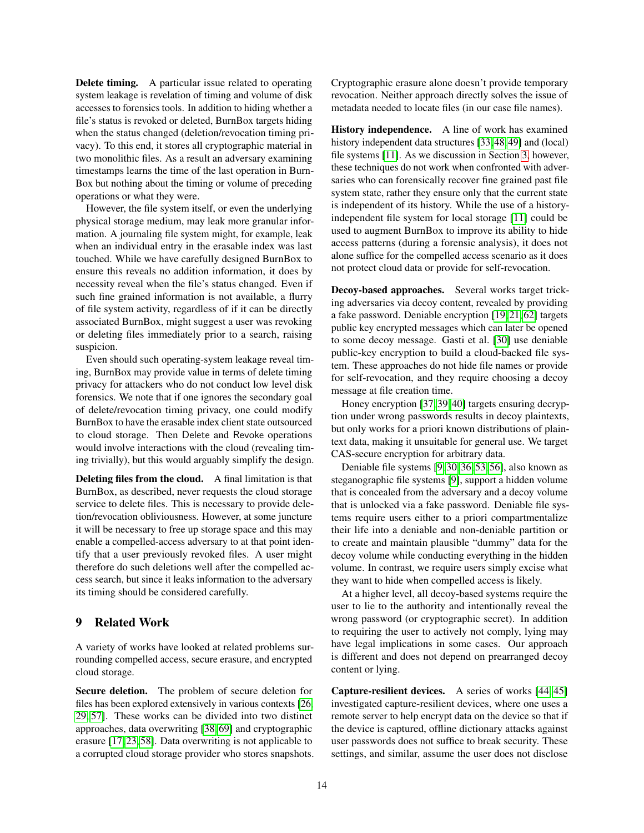Delete timing. A particular issue related to operating system leakage is revelation of timing and volume of disk accesses to forensics tools. In addition to hiding whether a file's status is revoked or deleted, BurnBox targets hiding when the status changed (deletion/revocation timing privacy). To this end, it stores all cryptographic material in two monolithic files. As a result an adversary examining timestamps learns the time of the last operation in Burn-Box but nothing about the timing or volume of preceding operations or what they were.

However, the file system itself, or even the underlying physical storage medium, may leak more granular information. A journaling file system might, for example, leak when an individual entry in the erasable index was last touched. While we have carefully designed BurnBox to ensure this reveals no addition information, it does by necessity reveal when the file's status changed. Even if such fine grained information is not available, a flurry of file system activity, regardless of if it can be directly associated BurnBox, might suggest a user was revoking or deleting files immediately prior to a search, raising suspicion.

Even should such operating-system leakage reveal timing, BurnBox may provide value in terms of delete timing privacy for attackers who do not conduct low level disk forensics. We note that if one ignores the secondary goal of delete/revocation timing privacy, one could modify BurnBox to have the erasable index client state outsourced to cloud storage. Then Delete and Revoke operations would involve interactions with the cloud (revealing timing trivially), but this would arguably simplify the design.

Deleting files from the cloud. A final limitation is that BurnBox, as described, never requests the cloud storage service to delete files. This is necessary to provide deletion/revocation obliviousness. However, at some juncture it will be necessary to free up storage space and this may enable a compelled-access adversary to at that point identify that a user previously revoked files. A user might therefore do such deletions well after the compelled access search, but since it leaks information to the adversary its timing should be considered carefully.

#### 9 Related Work

A variety of works have looked at related problems surrounding compelled access, secure erasure, and encrypted cloud storage.

Secure deletion. The problem of secure deletion for files has been explored extensively in various contexts [\[26,](#page-15-23) [29,](#page-15-24) [57\]](#page-16-14). These works can be divided into two distinct approaches, data overwriting [\[38,](#page-15-25) [69\]](#page-16-15) and cryptographic erasure [\[17,](#page-14-5) [23,](#page-14-6) [58\]](#page-16-1). Data overwriting is not applicable to a corrupted cloud storage provider who stores snapshots.

Cryptographic erasure alone doesn't provide temporary revocation. Neither approach directly solves the issue of metadata needed to locate files (in our case file names).

History independence. A line of work has examined history independent data structures [\[33,](#page-15-1) [48,](#page-15-2) [49\]](#page-15-3) and (local) file systems [\[11\]](#page-14-21). As we discussion in Section [3,](#page-4-0) however, these techniques do not work when confronted with adversaries who can forensically recover fine grained past file system state, rather they ensure only that the current state is independent of its history. While the use of a historyindependent file system for local storage [\[11\]](#page-14-21) could be used to augment BurnBox to improve its ability to hide access patterns (during a forensic analysis), it does not alone suffice for the compelled access scenario as it does not protect cloud data or provide for self-revocation.

Decoy-based approaches. Several works target tricking adversaries via decoy content, revealed by providing a fake password. Deniable encryption [\[19,](#page-14-2) [21,](#page-14-22) [62\]](#page-16-16) targets public key encrypted messages which can later be opened to some decoy message. Gasti et al. [\[30\]](#page-15-10) use deniable public-key encryption to build a cloud-backed file system. These approaches do not hide file names or provide for self-revocation, and they require choosing a decoy message at file creation time.

Honey encryption [\[37,](#page-15-26) [39,](#page-15-27) [40\]](#page-15-28) targets ensuring decryption under wrong passwords results in decoy plaintexts, but only works for a priori known distributions of plaintext data, making it unsuitable for general use. We target CAS-secure encryption for arbitrary data.

Deniable file systems [\[9,](#page-14-1) [30,](#page-15-10) [36,](#page-15-11) [53,](#page-15-0) [56\]](#page-15-13), also known as steganographic file systems [\[9\]](#page-14-1), support a hidden volume that is concealed from the adversary and a decoy volume that is unlocked via a fake password. Deniable file systems require users either to a priori compartmentalize their life into a deniable and non-deniable partition or to create and maintain plausible "dummy" data for the decoy volume while conducting everything in the hidden volume. In contrast, we require users simply excise what they want to hide when compelled access is likely.

At a higher level, all decoy-based systems require the user to lie to the authority and intentionally reveal the wrong password (or cryptographic secret). In addition to requiring the user to actively not comply, lying may have legal implications in some cases. Our approach is different and does not depend on prearranged decoy content or lying.

Capture-resilient devices. A series of works [\[44,](#page-15-29) [45\]](#page-15-30) investigated capture-resilient devices, where one uses a remote server to help encrypt data on the device so that if the device is captured, offline dictionary attacks against user passwords does not suffice to break security. These settings, and similar, assume the user does not disclose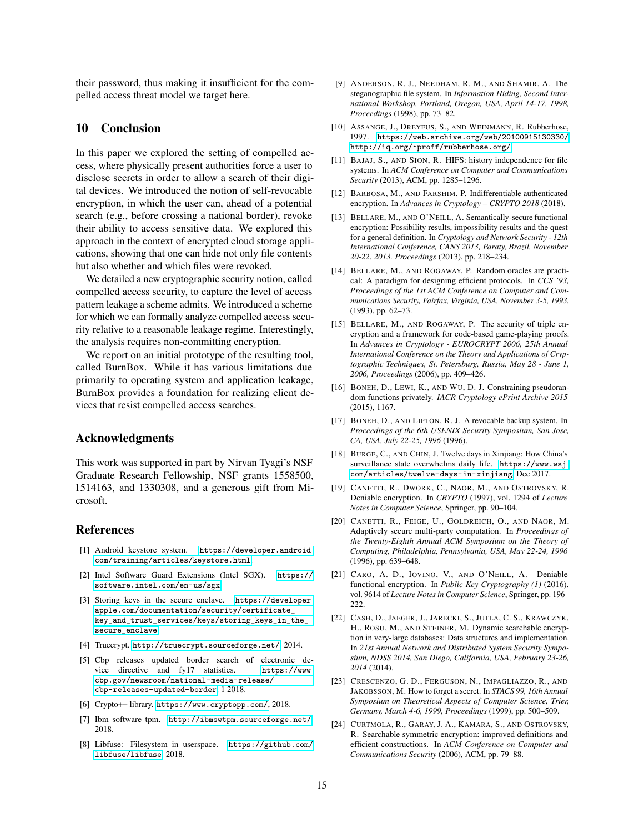their password, thus making it insufficient for the compelled access threat model we target here.

## 10 Conclusion

In this paper we explored the setting of compelled access, where physically present authorities force a user to disclose secrets in order to allow a search of their digital devices. We introduced the notion of self-revocable encryption, in which the user can, ahead of a potential search (e.g., before crossing a national border), revoke their ability to access sensitive data. We explored this approach in the context of encrypted cloud storage applications, showing that one can hide not only file contents but also whether and which files were revoked.

We detailed a new cryptographic security notion, called compelled access security, to capture the level of access pattern leakage a scheme admits. We introduced a scheme for which we can formally analyze compelled access security relative to a reasonable leakage regime. Interestingly, the analysis requires non-committing encryption.

We report on an initial prototype of the resulting tool, called BurnBox. While it has various limitations due primarily to operating system and application leakage, BurnBox provides a foundation for realizing client devices that resist compelled access searches.

#### Acknowledgments

This work was supported in part by Nirvan Tyagi's NSF Graduate Research Fellowship, NSF grants 1558500, 1514163, and 1330308, and a generous gift from Microsoft.

#### References

- <span id="page-14-18"></span>[1] Android keystore system. [https://developer.android.](https://developer.android.com/training/articles/keystore.html) [com/training/articles/keystore.html](https://developer.android.com/training/articles/keystore.html).
- <span id="page-14-19"></span>[2] Intel Software Guard Extensions (Intel SGX). [https://](https://software.intel.com/en-us/sgx) [software.intel.com/en-us/sgx](https://software.intel.com/en-us/sgx).
- <span id="page-14-17"></span>[3] Storing keys in the secure enclave. [https://developer.](https://developer.apple.com/documentation/security/certificate_key_and_trust_services/keys/storing_keys_in_the_secure_enclave) [apple.com/documentation/security/certificate\\_](https://developer.apple.com/documentation/security/certificate_key_and_trust_services/keys/storing_keys_in_the_secure_enclave) [key\\_and\\_trust\\_services/keys/storing\\_keys\\_in\\_the\\_](https://developer.apple.com/documentation/security/certificate_key_and_trust_services/keys/storing_keys_in_the_secure_enclave) [secure\\_enclave](https://developer.apple.com/documentation/security/certificate_key_and_trust_services/keys/storing_keys_in_the_secure_enclave).
- <span id="page-14-10"></span>[4] Truecrypt. <http://truecrypt.sourceforge.net/>, 2014.
- <span id="page-14-0"></span>[5] Cbp releases updated border search of electronic device directive and fy17 statistics. [https://www.](https://www.cbp.gov/newsroom/national-media-release/cbp-releases-updated-border-search-electronic-device-directive-and) [cbp.gov/newsroom/national-media-release/](https://www.cbp.gov/newsroom/national-media-release/cbp-releases-updated-border-search-electronic-device-directive-and) [cbp-releases-updated-border](https://www.cbp.gov/newsroom/national-media-release/cbp-releases-updated-border-search-electronic-device-directive-and), 1 2018.
- <span id="page-14-16"></span>[6] Crypto++ library. <https://www.cryptopp.com/>, 2018.
- <span id="page-14-20"></span>[7] Ibm software tpm. <http://ibmswtpm.sourceforge.net/>, 2018.
- <span id="page-14-15"></span>[8] Libfuse: Filesystem in userspace. [https://github.com/](https://github.com/libfuse/libfuse) [libfuse/libfuse](https://github.com/libfuse/libfuse), 2018.
- <span id="page-14-1"></span>[9] ANDERSON, R. J., NEEDHAM, R. M., AND SHAMIR, A. The steganographic file system. In *Information Hiding, Second International Workshop, Portland, Oregon, USA, April 14-17, 1998, Proceedings* (1998), pp. 73–82.
- <span id="page-14-11"></span>[10] ASSANGE, J., DREYFUS, S., AND WEINMANN, R. Rubberhose, 1997. [https://web.archive.org/web/20100915130330/](https://web.archive.org/web/20100915130330/http://iq.org/~proff/rubberhose.org/) [http://iq.org/~proff/rubberhose.org/](https://web.archive.org/web/20100915130330/http://iq.org/~proff/rubberhose.org/).
- <span id="page-14-21"></span>[11] BAJAJ, S., AND SION, R. HIFS: history independence for file systems. In *ACM Conference on Computer and Communications Security* (2013), ACM, pp. 1285–1296.
- <span id="page-14-14"></span>[12] BARBOSA, M., AND FARSHIM, P. Indifferentiable authenticated encryption. In *Advances in Cryptology – CRYPTO 2018* (2018).
- <span id="page-14-7"></span>[13] BELLARE, M., AND O'NEILL, A. Semantically-secure functional encryption: Possibility results, impossibility results and the quest for a general definition. In *Cryptology and Network Security - 12th International Conference, CANS 2013, Paraty, Brazil, November 20-22. 2013. Proceedings* (2013), pp. 218–234.
- <span id="page-14-13"></span>[14] BELLARE, M., AND ROGAWAY, P. Random oracles are practical: A paradigm for designing efficient protocols. In *CCS '93, Proceedings of the 1st ACM Conference on Computer and Communications Security, Fairfax, Virginia, USA, November 3-5, 1993.* (1993), pp. 62–73.
- <span id="page-14-23"></span>[15] BELLARE, M., AND ROGAWAY, P. The security of triple encryption and a framework for code-based game-playing proofs. In *Advances in Cryptology - EUROCRYPT 2006, 25th Annual International Conference on the Theory and Applications of Cryptographic Techniques, St. Petersburg, Russia, May 28 - June 1, 2006, Proceedings* (2006), pp. 409–426.
- <span id="page-14-12"></span>[16] BONEH, D., LEWI, K., AND WU, D. J. Constraining pseudorandom functions privately. *IACR Cryptology ePrint Archive 2015* (2015), 1167.
- <span id="page-14-5"></span>[17] BONEH, D., AND LIPTON, R. J. A revocable backup system. In *Proceedings of the 6th USENIX Security Symposium, San Jose, CA, USA, July 22-25, 1996* (1996).
- <span id="page-14-9"></span>[18] BURGE, C., AND CHIN, J. Twelve days in Xinjiang: How China's surveillance state overwhelms daily life. [https://www.wsj.](https://www.wsj.com/articles/twelve-days-in-xinjiang) [com/articles/twelve-days-in-xinjiang](https://www.wsj.com/articles/twelve-days-in-xinjiang), Dec 2017.
- <span id="page-14-2"></span>[19] CANETTI, R., DWORK, C., NAOR, M., AND OSTROVSKY, R. Deniable encryption. In *CRYPTO* (1997), vol. 1294 of *Lecture Notes in Computer Science*, Springer, pp. 90–104.
- <span id="page-14-8"></span>[20] CANETTI, R., FEIGE, U., GOLDREICH, O., AND NAOR, M. Adaptively secure multi-party computation. In *Proceedings of the Twenty-Eighth Annual ACM Symposium on the Theory of Computing, Philadelphia, Pennsylvania, USA, May 22-24, 1996* (1996), pp. 639–648.
- <span id="page-14-22"></span>[21] CARO, A. D., IOVINO, V., AND O'NEILL, A. Deniable functional encryption. In *Public Key Cryptography (1)* (2016), vol. 9614 of *Lecture Notes in Computer Science*, Springer, pp. 196– 222.
- <span id="page-14-3"></span>[22] CASH, D., JAEGER, J., JARECKI, S., JUTLA, C. S., KRAWCZYK, H., ROSU, M., AND STEINER, M. Dynamic searchable encryption in very-large databases: Data structures and implementation. In *21st Annual Network and Distributed System Security Symposium, NDSS 2014, San Diego, California, USA, February 23-26, 2014* (2014).
- <span id="page-14-6"></span>[23] CRESCENZO, G. D., FERGUSON, N., IMPAGLIAZZO, R., AND JAKOBSSON, M. How to forget a secret. In *STACS 99, 16th Annual Symposium on Theoretical Aspects of Computer Science, Trier, Germany, March 4-6, 1999, Proceedings* (1999), pp. 500–509.
- <span id="page-14-4"></span>[24] CURTMOLA, R., GARAY, J. A., KAMARA, S., AND OSTROVSKY, R. Searchable symmetric encryption: improved definitions and efficient constructions. In *ACM Conference on Computer and Communications Security* (2006), ACM, pp. 79–88.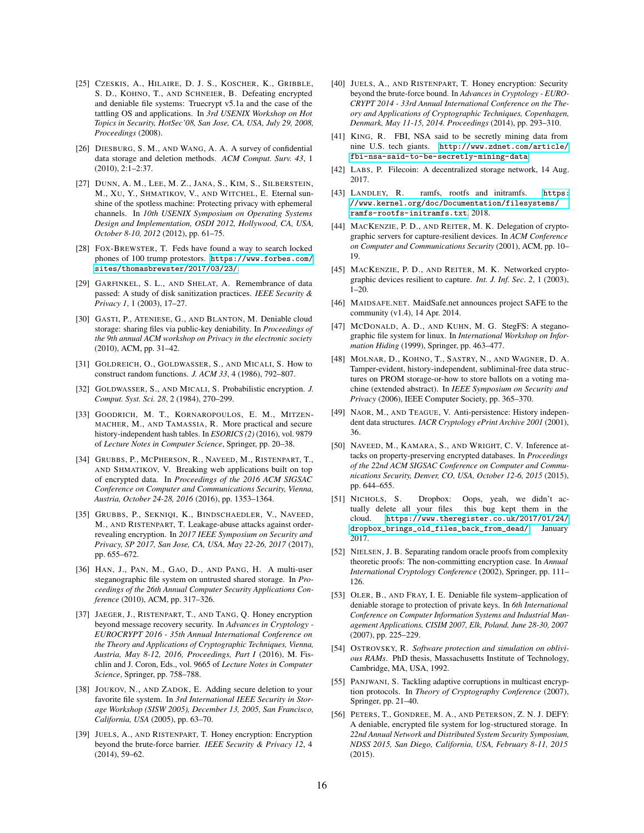- <span id="page-15-21"></span>[25] CZESKIS, A., HILAIRE, D. J. S., KOSCHER, K., GRIBBLE, S. D., KOHNO, T., AND SCHNEIER, B. Defeating encrypted and deniable file systems: Truecrypt v5.1a and the case of the tattling OS and applications. In *3rd USENIX Workshop on Hot Topics in Security, HotSec'08, San Jose, CA, USA, July 29, 2008, Proceedings* (2008).
- <span id="page-15-23"></span>[26] DIESBURG, S. M., AND WANG, A. A. A survey of confidential data storage and deletion methods. *ACM Comput. Surv. 43*, 1 (2010), 2:1–2:37.
- <span id="page-15-22"></span>[27] DUNN, A. M., LEE, M. Z., JANA, S., KIM, S., SILBERSTEIN, M., XU, Y., SHMATIKOV, V., AND WITCHEL, E. Eternal sunshine of the spotless machine: Protecting privacy with ephemeral channels. In *10th USENIX Symposium on Operating Systems Design and Implementation, OSDI 2012, Hollywood, CA, USA, October 8-10, 2012* (2012), pp. 61–75.
- <span id="page-15-5"></span>[28] FOX-BREWSTER, T. Feds have found a way to search locked phones of 100 trump protestors. [https://www.forbes.com/](https://www.forbes.com/sites/thomasbrewster/2017/03/23/) [sites/thomasbrewster/2017/03/23/](https://www.forbes.com/sites/thomasbrewster/2017/03/23/).
- <span id="page-15-24"></span>[29] GARFINKEL, S. L., AND SHELAT, A. Remembrance of data passed: A study of disk sanitization practices. *IEEE Security & Privacy 1*, 1 (2003), 17–27.
- <span id="page-15-10"></span>[30] GASTI, P., ATENIESE, G., AND BLANTON, M. Deniable cloud storage: sharing files via public-key deniability. In *Proceedings of the 9th annual ACM workshop on Privacy in the electronic society* (2010), ACM, pp. 31–42.
- <span id="page-15-14"></span>[31] GOLDREICH, O., GOLDWASSER, S., AND MICALI, S. How to construct random functions. *J. ACM 33*, 4 (1986), 792–807.
- <span id="page-15-31"></span>[32] GOLDWASSER, S., AND MICALI, S. Probabilistic encryption. *J. Comput. Syst. Sci. 28*, 2 (1984), 270–299.
- <span id="page-15-1"></span>[33] GOODRICH, M. T., KORNAROPOULOS, E. M., MITZEN-MACHER, M., AND TAMASSIA, R. More practical and secure history-independent hash tables. In *ESORICS (2)* (2016), vol. 9879 of *Lecture Notes in Computer Science*, Springer, pp. 20–38.
- <span id="page-15-18"></span>[34] GRUBBS, P., MCPHERSON, R., NAVEED, M., RISTENPART, T., AND SHMATIKOV, V. Breaking web applications built on top of encrypted data. In *Proceedings of the 2016 ACM SIGSAC Conference on Computer and Communications Security, Vienna, Austria, October 24-28, 2016* (2016), pp. 1353–1364.
- <span id="page-15-19"></span>[35] GRUBBS, P., SEKNIQI, K., BINDSCHAEDLER, V., NAVEED, M., AND RISTENPART, T. Leakage-abuse attacks against orderrevealing encryption. In *2017 IEEE Symposium on Security and Privacy, SP 2017, San Jose, CA, USA, May 22-26, 2017* (2017), pp. 655–672.
- <span id="page-15-11"></span>[36] HAN, J., PAN, M., GAO, D., AND PANG, H. A multi-user steganographic file system on untrusted shared storage. In *Proceedings of the 26th Annual Computer Security Applications Conference* (2010), ACM, pp. 317–326.
- <span id="page-15-26"></span>[37] JAEGER, J., RISTENPART, T., AND TANG, Q. Honey encryption beyond message recovery security. In *Advances in Cryptology - EUROCRYPT 2016 - 35th Annual International Conference on the Theory and Applications of Cryptographic Techniques, Vienna, Austria, May 8-12, 2016, Proceedings, Part I* (2016), M. Fischlin and J. Coron, Eds., vol. 9665 of *Lecture Notes in Computer Science*, Springer, pp. 758–788.
- <span id="page-15-25"></span>[38] JOUKOV, N., AND ZADOK, E. Adding secure deletion to your favorite file system. In *3rd International IEEE Security in Storage Workshop (SISW 2005), December 13, 2005, San Francisco, California, USA* (2005), pp. 63–70.
- <span id="page-15-27"></span>[39] JUELS, A., AND RISTENPART, T. Honey encryption: Encryption beyond the brute-force barrier. *IEEE Security & Privacy 12*, 4 (2014), 59–62.
- <span id="page-15-28"></span>[40] JUELS, A., AND RISTENPART, T. Honey encryption: Security beyond the brute-force bound. In *Advances in Cryptology - EURO-CRYPT 2014 - 33rd Annual International Conference on the Theory and Applications of Cryptographic Techniques, Copenhagen, Denmark, May 11-15, 2014. Proceedings* (2014), pp. 293–310.
- <span id="page-15-7"></span>[41] KING, R. FBI, NSA said to be secretly mining data from nine U.S. tech giants. [http://www.zdnet.com/article/](http://www.zdnet.com/article/fbi-nsa-said-to-be-secretly-mining-data-from-nine-u-s-tech-giants/) [fbi-nsa-said-to-be-secretly-mining-data](http://www.zdnet.com/article/fbi-nsa-said-to-be-secretly-mining-data-from-nine-u-s-tech-giants/).
- <span id="page-15-8"></span>[42] LABS, P. Filecoin: A decentralized storage network, 14 Aug. 2017.
- <span id="page-15-17"></span>[43] LANDLEY, R. ramfs, rootfs and initramfs. [https:](https://www.kernel.org/doc/Documentation/filesystems/ramfs-rootfs-initramfs.txt) [//www.kernel.org/doc/Documentation/filesystems/](https://www.kernel.org/doc/Documentation/filesystems/ramfs-rootfs-initramfs.txt) [ramfs-rootfs-initramfs.txt](https://www.kernel.org/doc/Documentation/filesystems/ramfs-rootfs-initramfs.txt), 2018.
- <span id="page-15-29"></span>[44] MACKENZIE, P. D., AND REITER, M. K. Delegation of cryptographic servers for capture-resilient devices. In *ACM Conference on Computer and Communications Security* (2001), ACM, pp. 10– 19.
- <span id="page-15-30"></span>[45] MACKENZIE, P. D., AND REITER, M. K. Networked cryptographic devices resilient to capture. *Int. J. Inf. Sec. 2*, 1 (2003),  $1-20.$
- <span id="page-15-9"></span>[46] MAIDSAFE.NET. MaidSafe.net announces project SAFE to the community (v1.4), 14 Apr. 2014.
- <span id="page-15-12"></span>[47] MCDONALD, A. D., AND KUHN, M. G. StegFS: A steganographic file system for linux. In *International Workshop on Information Hiding* (1999), Springer, pp. 463–477.
- <span id="page-15-2"></span>[48] MOLNAR, D., KOHNO, T., SASTRY, N., AND WAGNER, D. A. Tamper-evident, history-independent, subliminal-free data structures on PROM storage-or-how to store ballots on a voting machine (extended abstract). In *IEEE Symposium on Security and Privacy* (2006), IEEE Computer Society, pp. 365–370.
- <span id="page-15-3"></span>[49] NAOR, M., AND TEAGUE, V. Anti-persistence: History independent data structures. *IACR Cryptology ePrint Archive 2001* (2001), 36.
- <span id="page-15-20"></span>[50] NAVEED, M., KAMARA, S., AND WRIGHT, C. V. Inference attacks on property-preserving encrypted databases. In *Proceedings of the 22nd ACM SIGSAC Conference on Computer and Communications Security, Denver, CO, USA, October 12-6, 2015* (2015), pp. 644–655.
- <span id="page-15-6"></span>[51] NICHOLS, S. Dropbox: Oops, yeah, we didn't actually delete all your files this bug kept them in the cloud. [https://www.theregister.co.uk/2017/01/24/](https://www.theregister.co.uk/2017/01/24/dropbox_brings_old_files_back_from_dead/) [dropbox\\_brings\\_old\\_files\\_back\\_from\\_dead/](https://www.theregister.co.uk/2017/01/24/dropbox_brings_old_files_back_from_dead/), January 2017.
- <span id="page-15-15"></span>[52] NIELSEN, J. B. Separating random oracle proofs from complexity theoretic proofs: The non-committing encryption case. In *Annual International Cryptology Conference* (2002), Springer, pp. 111– 126.
- <span id="page-15-0"></span>[53] OLER, B., AND FRAY, I. E. Deniable file system–application of deniable storage to protection of private keys. In *6th International Conference on Computer Information Systems and Industrial Management Applications, CISIM 2007, Elk, Poland, June 28-30, 2007* (2007), pp. 225–229.
- <span id="page-15-16"></span>[54] OSTROVSKY, R. *Software protection and simulation on oblivious RAMs*. PhD thesis, Massachusetts Institute of Technology, Cambridge, MA, USA, 1992.
- <span id="page-15-4"></span>[55] PANJWANI, S. Tackling adaptive corruptions in multicast encryption protocols. In *Theory of Cryptography Conference* (2007), Springer, pp. 21–40.
- <span id="page-15-13"></span>[56] PETERS, T., GONDREE, M. A., AND PETERSON, Z. N. J. DEFY: A deniable, encrypted file system for log-structured storage. In *22nd Annual Network and Distributed System Security Symposium, NDSS 2015, San Diego, California, USA, February 8-11, 2015* (2015).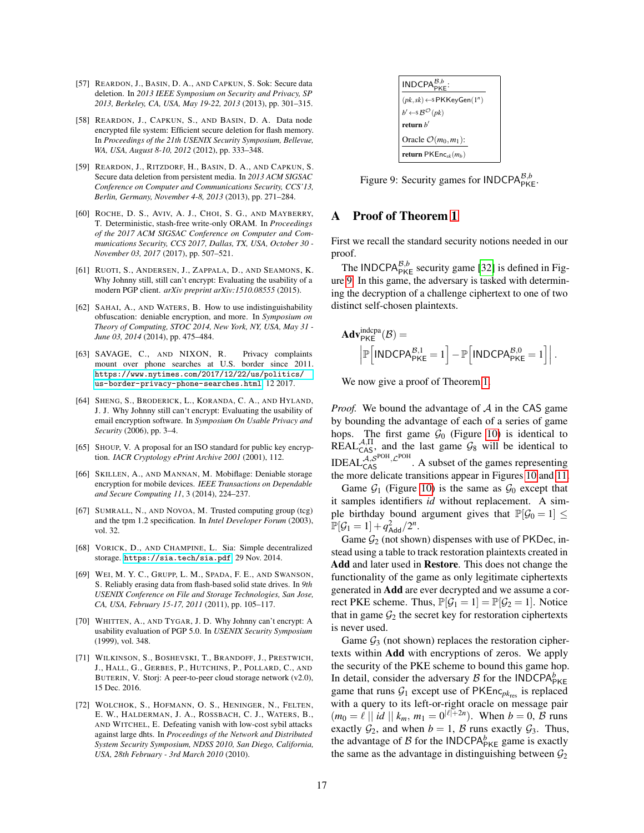- <span id="page-16-14"></span>[57] REARDON, J., BASIN, D. A., AND CAPKUN, S. Sok: Secure data deletion. In *2013 IEEE Symposium on Security and Privacy, SP 2013, Berkeley, CA, USA, May 19-22, 2013* (2013), pp. 301–315.
- <span id="page-16-1"></span>[58] REARDON, J., CAPKUN, S., AND BASIN, D. A. Data node encrypted file system: Efficient secure deletion for flash memory. In *Proceedings of the 21th USENIX Security Symposium, Bellevue, WA, USA, August 8-10, 2012* (2012), pp. 333–348.
- <span id="page-16-9"></span>[59] REARDON, J., RITZDORF, H., BASIN, D. A., AND CAPKUN, S. Secure data deletion from persistent media. In *2013 ACM SIGSAC Conference on Computer and Communications Security, CCS'13, Berlin, Germany, November 4-8, 2013* (2013), pp. 271–284.
- <span id="page-16-13"></span>[60] ROCHE, D. S., AVIV, A. J., CHOI, S. G., AND MAYBERRY, T. Deterministic, stash-free write-only ORAM. In *Proceedings of the 2017 ACM SIGSAC Conference on Computer and Communications Security, CCS 2017, Dallas, TX, USA, October 30 - November 03, 2017* (2017), pp. 507–521.
- <span id="page-16-6"></span>[61] RUOTI, S., ANDERSEN, J., ZAPPALA, D., AND SEAMONS, K. Why Johnny still, still can't encrypt: Evaluating the usability of a modern PGP client. *arXiv preprint arXiv:1510.08555* (2015).
- <span id="page-16-16"></span>[62] SAHAI, A., AND WATERS, B. How to use indistinguishability obfuscation: deniable encryption, and more. In *Symposium on Theory of Computing, STOC 2014, New York, NY, USA, May 31 - June 03, 2014* (2014), pp. 475–484.
- <span id="page-16-0"></span>[63] SAVAGE, C., AND NIXON, R. Privacy complaints mount over phone searches at U.S. border since 2011. [https://www.nytimes.com/2017/12/22/us/politics/](https://www.nytimes.com/2017/12/22/us/politics/us-border-privacy-phone-searches.html) [us-border-privacy-phone-searches.html](https://www.nytimes.com/2017/12/22/us/politics/us-border-privacy-phone-searches.html), 12 2017.
- <span id="page-16-7"></span>[64] SHENG, S., BRODERICK, L., KORANDA, C. A., AND HYLAND, J. J. Why Johnny still can't encrypt: Evaluating the usability of email encryption software. In *Symposium On Usable Privacy and Security* (2006), pp. 3–4.
- <span id="page-16-11"></span>[65] SHOUP, V. A proposal for an ISO standard for public key encryption. *IACR Cryptology ePrint Archive 2001* (2001), 112.
- <span id="page-16-5"></span>[66] SKILLEN, A., AND MANNAN, M. Mobiflage: Deniable storage encryption for mobile devices. *IEEE Transactions on Dependable and Secure Computing 11*, 3 (2014), 224–237.
- <span id="page-16-12"></span>[67] SUMRALL, N., AND NOVOA, M. Trusted computing group (tcg) and the tpm 1.2 specification. In *Intel Developer Forum* (2003), vol. 32.
- <span id="page-16-2"></span>[68] VORICK, D., AND CHAMPINE, L. Sia: Simple decentralized storage. <https://sia.tech/sia.pdf>, 29 Nov. 2014.
- <span id="page-16-15"></span>[69] WEI, M. Y. C., GRUPP, L. M., SPADA, F. E., AND SWANSON, S. Reliably erasing data from flash-based solid state drives. In *9th USENIX Conference on File and Storage Technologies, San Jose, CA, USA, February 15-17, 2011* (2011), pp. 105–117.
- <span id="page-16-8"></span>[70] WHITTEN, A., AND TYGAR, J. D. Why Johnny can't encrypt: A usability evaluation of PGP 5.0. In *USENIX Security Symposium* (1999), vol. 348.
- <span id="page-16-3"></span>[71] WILKINSON, S., BOSHEVSKI, T., BRANDOFF, J., PRESTWICH, J., HALL, G., GERBES, P., HUTCHINS, P., POLLARD, C., AND BUTERIN, V. Storj: A peer-to-peer cloud storage network (v2.0), 15 Dec. 2016.
- <span id="page-16-4"></span>[72] WOLCHOK, S., HOFMANN, O. S., HENINGER, N., FELTEN, E. W., HALDERMAN, J. A., ROSSBACH, C. J., WATERS, B., AND WITCHEL, E. Defeating vanish with low-cost sybil attacks against large dhts. In *Proceedings of the Network and Distributed System Security Symposium, NDSS 2010, San Diego, California, USA, 28th February - 3rd March 2010* (2010).

<span id="page-16-17"></span>

Figure 9: Security games for  $INDCPA_{PKE}^{B,b}$ .

## <span id="page-16-10"></span>A Proof of Theorem [1](#page-9-2)

First we recall the standard security notions needed in our proof.

The INDCPA $_{\text{PKE}}^{B,b}$  security game [\[32\]](#page-15-31) is defined in Figure [9.](#page-16-17) In this game, the adversary is tasked with determining the decryption of a challenge ciphertext to one of two distinct self-chosen plaintexts.

$$
\begin{aligned}\n\mathbf{Adv}_{\mathsf{PKE}}^{\text{indcpa}}(\mathcal{B}) &= \\
\left| \mathbb{P}\left[\mathsf{INDCPA}_{\mathsf{PKE}}^{\mathcal{B},1} = 1\right] - \mathbb{P}\left[\mathsf{INDCPA}_{\mathsf{PKE}}^{\mathcal{B},0} = 1\right]\right|. \end{aligned}
$$

We now give a proof of Theorem [1.](#page-9-2)

*Proof.* We bound the advantage of  $A$  in the CAS game by bounding the advantage of each of a series of game hops. The first game  $\mathcal{G}_0$  (Figure [10\)](#page-17-0) is identical to REAL<sup>A, Π</sup>, and the last game  $\mathcal{G}_8$  will be identical to IDEAL $A_{\rm cAS}^{A,\rm SPOH}$ ,  $\mathcal{L}^{\rm POH}$ . A subset of the games representing the more delicate transitions appear in Figures [10](#page-17-0) and [11.](#page-18-0)

Game  $G_1$  (Figure [10\)](#page-17-0) is the same as  $G_0$  except that it samples identifiers *id* without replacement. A simple birthday bound argument gives that  $\mathbb{P}[\mathcal{G}_0 = 1] \leq$  $\mathbb{P}[\mathcal{G}_1 = 1] + q_{\mathsf{Add}}^2/2^n.$ 

Game  $\mathcal{G}_2$  (not shown) dispenses with use of PKDec, instead using a table to track restoration plaintexts created in Add and later used in Restore. This does not change the functionality of the game as only legitimate ciphertexts generated in Add are ever decrypted and we assume a correct PKE scheme. Thus,  $\mathbb{P}[\mathcal{G}_1 = 1] = \mathbb{P}[\mathcal{G}_2 = 1]$ . Notice that in game  $\mathcal{G}_2$  the secret key for restoration ciphertexts is never used.

Game  $\mathcal{G}_3$  (not shown) replaces the restoration ciphertexts within Add with encryptions of zeros. We apply the security of the PKE scheme to bound this game hop. In detail, consider the adversary  $\beta$  for the INDCPA $_{PKE}^b$ game that runs  $G_1$  except use of  $PKEnc<sub>pk</sub>res}$  is replaced with a query to its left-or-right oracle on message pair  $(m_0 = \ell || id || k_m, m_1 = 0^{|\ell|+2n})$ . When  $b = 0$ , B runs exactly  $\mathcal{G}_2$ , and when  $b = 1$ ,  $\mathcal{B}$  runs exactly  $\mathcal{G}_3$ . Thus, the advantage of  $\mathcal{B}$  for the INDCPA<sup> $b$ </sup><sub>PKE</sub> game is exactly the same as the advantage in distinguishing between  $\mathcal{G}_2$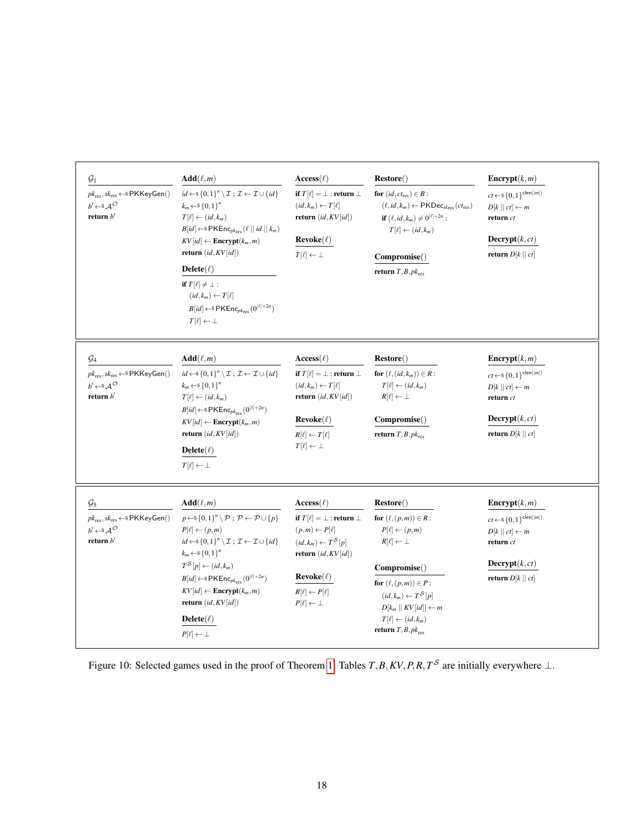<span id="page-17-0"></span>

| $\mathcal{G}_1$<br>$pk_{res}, sk_{res} \leftarrow SPKKeyGen()$<br>$b' \leftarrow s A^{\mathcal{O}}$<br>return $b'$                          | $Add(\ell,m)$<br>$id \leftarrow S \{0,1\}^n \setminus \mathcal{I}$ ; $\mathcal{I} \leftarrow \mathcal{I} \cup \{id\}$<br>$k_m \leftarrow$ s {0, 1} <sup>n</sup><br>$T[\ell] \leftarrow (id, k_m)$<br>$B(id] \leftarrow$ PKEnc <sub>pk<sub>res</sub> (<math>\ell \mid \mid id \mid \mid k_m</math>)</sub><br>$KV(id] \leftarrow \text{Energy}(k_m, m)$<br>return $(id, KV(id])$<br>$Delete(\ell)$<br>if $T[\ell] \neq \bot$ :<br>$(id, k_m) \leftarrow T[\ell]$<br>$B(id] \leftarrow$ PKEnc <sub>pkres</sub> $(0^{ \ell +2n})$<br>$T[\ell] \leftarrow \perp$ | $\mathrm{Access}(\ell)$<br>if $T[\ell] = \perp$ : return $\perp$<br>$(id, k_m) \leftarrow T[\ell]$<br>return $(id, KV(id])$<br>$\bf{Re}$ voke $(\ell)$<br>$T[\ell] \leftarrow \perp$                                                             | Restore()<br>for $(id, ct_{res}) \in B$ :<br>$(\ell, id, k_m) \leftarrow \text{PKDec}_{sk_{\text{res}}}(ct_{\text{res}})$<br><b>if</b> $(\ell, id, k_m) \neq 0^{ \ell  + 2n}$ :<br>$T[\ell] \leftarrow (id, k_m)$<br>Compromise()<br>return $T, B, pk_{res}$                       | $\text{Energy}(k,m)$<br>$ct\leftarrow\!\! \mathbb{S}\left\{ 0,1 \right\}^{\mathsf{clen}( m )}$<br>$D[k    ct] \leftarrow m$<br>return $ct$<br>$\textbf{Decrypt}(k, ct)$<br>return $D[k    ct]$ |
|---------------------------------------------------------------------------------------------------------------------------------------------|-------------------------------------------------------------------------------------------------------------------------------------------------------------------------------------------------------------------------------------------------------------------------------------------------------------------------------------------------------------------------------------------------------------------------------------------------------------------------------------------------------------------------------------------------------------|--------------------------------------------------------------------------------------------------------------------------------------------------------------------------------------------------------------------------------------------------|------------------------------------------------------------------------------------------------------------------------------------------------------------------------------------------------------------------------------------------------------------------------------------|------------------------------------------------------------------------------------------------------------------------------------------------------------------------------------------------|
| $\mathcal{G}_4$<br>$pk_{\rm res}, sk_{\rm res} \leftarrow s$ PKKeyGen()<br>$b' \leftarrow s \mathcal{A}^{\mathcal{O}}$<br>return $b'$       | $Add(\ell,m)$<br>$id \leftarrow \{0,1\}^n \setminus \mathcal{I}$ ; $\mathcal{I} \leftarrow \mathcal{I} \cup \{id\}$<br>$k_m \leftarrow$ $\{0,1\}^n$<br>$T[\ell] \leftarrow (id, k_m)$<br>$B(id] \leftarrow$ \$PKEnc <sub>pkres</sub> $(0^{ \ell +2n})$<br>$KV(id] \leftarrow \text{Energy}(k_m, m)$<br>return $(id, KV(id])$<br>Delete $(\ell)$<br>$T[\ell] \leftarrow \perp$                                                                                                                                                                               | $Access(\ell)$<br>if $T[\ell] = \perp$ : return $\perp$<br>$(id,k_m) \leftarrow T[\ell]$<br>return $(id, KV(id])$<br>$\bf{Re}$ voke $(\ell)$<br>$R[\ell] \leftarrow T[\ell]$<br>$T[\ell] \leftarrow \perp$                                       | Restore()<br>for $(\ell, (id, k_m)) \in R$ :<br>$T[\ell] \leftarrow (id, k_m)$<br>$R[\ell] \leftarrow \perp$<br>Compromise()<br>return $T, B, pk_{res}$                                                                                                                            | $\text{Energy}(k,m)$<br>$ct \leftarrow s \{0,1\}^{clen( m )}$<br>$D[k    ct] \leftarrow m$<br>return ct<br>$\textbf{Decrypt}(k, ct)$<br>return $D[k    ct]$                                    |
| $\mathcal{G}_5$<br>$pk_{\text{res}}, sk_{\text{res}} \leftarrow s$ PKKeyGen()<br>$b' \leftarrow s \mathcal{A}^{\mathcal{O}}$<br>return $b'$ | $Add(\ell,m)$<br>$p \leftarrow S \{0,1\}^n \backslash \mathcal{P}$ ; $\mathcal{P} \leftarrow \mathcal{P} \cup \{p\}$<br>$P[\ell] \leftarrow (p,m)$<br>$id \leftarrow \{0,1\}^n \setminus \mathcal{I}$ ; $\mathcal{I} \leftarrow \mathcal{I} \cup \{id\}$<br>$k_m \leftarrow$ \$ {0, 1} <sup>n</sup><br>$T^{\mathcal{S}}[p] \leftarrow (id, k_m)$<br>$B(id] \leftarrow$ \$PKEnc <sub>pkres</sub> $(0^{ \ell +2n})$<br>$KV(id] \leftarrow \text{Energy}(k_m, m)$<br>return $(id, KV(id])$<br>$Delete(\ell)$<br>$P[\ell] \leftarrow \perp$                     | $\mathrm{Access}(\ell)$<br>if $T[\ell] = \perp$ : return $\perp$<br>$(p,m) \leftarrow P[\ell]$<br>$(id,k_m) \leftarrow T^S[p]$<br>return $(id, KV(id])$<br>$\bf{Re}$ voke $(\ell)$<br>$R[\ell] \leftarrow P[\ell]$<br>$P[\ell] \leftarrow \perp$ | Restore()<br>for $(\ell,(p,m)) \in R$ :<br>$P[\ell] \leftarrow (p,m)$<br>$R[\ell] \leftarrow \perp$<br>Compromise()<br>for $(\ell,(p,m)) \in P$ :<br>$(id, k_m) \leftarrow T^S[p]$<br>$D[k_m    KV(id]] \leftarrow m$<br>$T[\ell] \leftarrow (id, k_m)$<br>return $T, B, pk_{res}$ | <b>Encrypt</b> $(k,m)$<br>$ct \leftarrow \S \{0,1\}^{\mathsf{clen}( m )}$<br>$D[k    ct] \leftarrow m$<br>return $ct$<br>$\textbf{Decrypt}(k, ct)$<br>return $D[k    ct]$                      |

Figure 10: Selected games used in the proof of Theorem [1.](#page-9-2) Tables  $T$ , *B*,  $KV$ , *P*,  $R$ ,  $T$ <sup>S</sup> are initially everywhere  $\perp$ .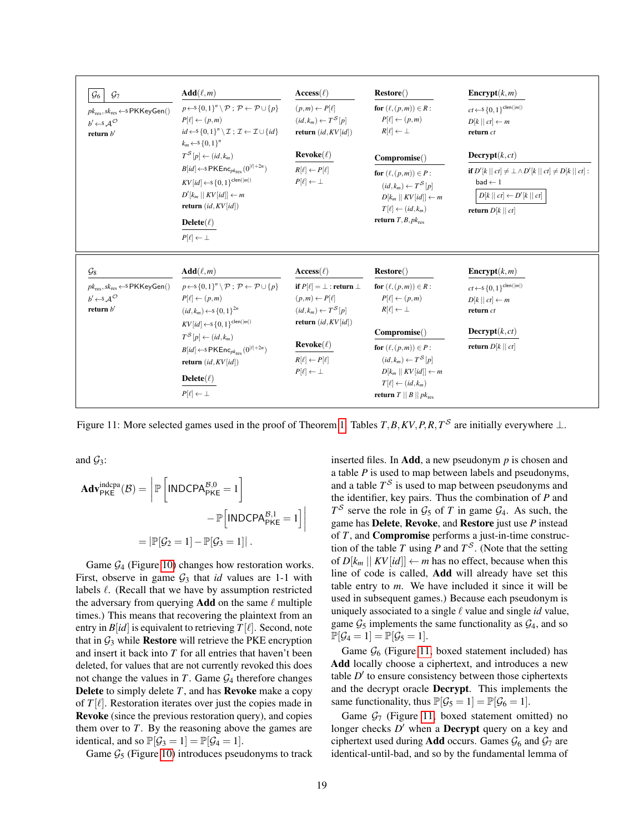<span id="page-18-0"></span>

| $\mathcal{G}_6$<br>$\mathcal{G}_7$<br>$pk_{\text{res}}, sk_{\text{res}} \leftarrow s$ PKKeyGen()<br>$b' \leftarrow s A^{\mathcal{O}}$<br>return $b'$ | $Add(\ell,m)$<br>$p \leftarrow S \{0,1\}^n \backslash \mathcal{P}$ ; $\mathcal{P} \leftarrow \mathcal{P} \cup \{p\}$<br>$P[\ell] \leftarrow (p,m)$<br>$id \leftarrow \{0,1\}^n \setminus \mathcal{I}$ ; $\mathcal{I} \leftarrow \mathcal{I} \cup \{id\}$<br>$k_m \leftarrow \{0,1\}^n$<br>$T^{\mathcal{S}}[p] \leftarrow (id, k_m)$<br>$B(id] \leftarrow$ SPKEnc <sub>pkres</sub> $(0^{ \ell +2n})$<br>$KV(id] \leftarrow \{0, 1\}^{clean( m )}$<br>$D'[k_m    KV(id]] \leftarrow m$<br>return $(id,KV(id])$<br>Delete $(\ell)$<br>$P[\ell] \leftarrow \perp$ | $\mathrm{Access}(\ell)$<br>$(p,m) \leftarrow P[\ell]$<br>$(id, k_m) \leftarrow T^S[p]$<br>return $(id,KV(id])$<br>$\bf{Re}$ voke $(\ell)$<br>$R[\ell] \leftarrow P[\ell]$<br>$P[\ell] \leftarrow \perp$                                        | Restore()<br>for $(\ell,(p,m)) \in R$ :<br>$P[\ell] \leftarrow (p,m)$<br>$R[\ell] \leftarrow \perp$<br>Compromise()<br>for $(\ell,(p,m)) \in P$ :<br>$(id, k_m) \leftarrow T^S[p]$<br>$D[k_m    KV(id]] \leftarrow m$<br>$T[\ell] \leftarrow (id, k_m)$<br>return $T, B, pk_{res}$                          | $\text{Energy}(k, m)$<br>$ct\!\leftarrow\!\! \mathbb{S}\left\{0,1\right\}^{\mathsf{clen}( m )}$<br>$D[k    ct] \leftarrow m$<br>return ct<br>$\textbf{Decrypt}(k, ct)$<br>if $D'[k \mid c\mathbf{t}] \neq \perp \wedge D'[k \mid c\mathbf{t}] \neq D[k \mid c\mathbf{t}]$ :<br>$bad \leftarrow 1$<br>$D[k    ct] \leftarrow D'[k    ct]$<br>return $D[k    ct]$ |
|------------------------------------------------------------------------------------------------------------------------------------------------------|---------------------------------------------------------------------------------------------------------------------------------------------------------------------------------------------------------------------------------------------------------------------------------------------------------------------------------------------------------------------------------------------------------------------------------------------------------------------------------------------------------------------------------------------------------------|------------------------------------------------------------------------------------------------------------------------------------------------------------------------------------------------------------------------------------------------|-------------------------------------------------------------------------------------------------------------------------------------------------------------------------------------------------------------------------------------------------------------------------------------------------------------|-----------------------------------------------------------------------------------------------------------------------------------------------------------------------------------------------------------------------------------------------------------------------------------------------------------------------------------------------------------------|
| $\mathcal{G}_8$<br>$pk_{\text{res}}$ , $sk_{\text{res}} \leftarrow s$ PKKeyGen()<br>$b' \leftarrow s A^{\mathcal{O}}$<br>return $b'$                 | $Add(\ell,m)$<br>$p \leftarrow s \{0,1\}^n \setminus \mathcal{P} : \mathcal{P} \leftarrow \mathcal{P} \cup \{p\}$<br>$P[\ell] \leftarrow (p,m)$<br>$(id, k_m) \leftarrow \{0, 1\}^{2n}$<br>$KV(id] \leftarrow \{0,1\}^{clean( m )}$<br>$T^{\mathcal{S}}[p] \leftarrow (id, k_m)$<br>$B(id] \leftarrow$ SPKEnc <sub>pkres</sub> $(0^{\lvert \ell \rvert + 2n})$<br>return $(id, KV(id])$<br>Delete $(\ell)$<br>$P[\ell] \leftarrow \perp$                                                                                                                      | $\mathrm{Access}(\ell)$<br>if $P[\ell] = \bot$ : return $\bot$<br>$(p,m) \leftarrow P[\ell]$<br>$(id, k_m) \leftarrow T^S[p]$<br>return $(id,KV(id])$<br>$\bf{Re}$ voke $(\ell)$<br>$R[\ell] \leftarrow P[\ell]$<br>$P[\ell] \leftarrow \perp$ | Restore()<br>for $(\ell,(p,m)) \in R$ :<br>$P[\ell] \leftarrow (p,m)$<br>$R[\ell] \leftarrow \perp$<br>Compromise()<br>for $(\ell,(p,m)) \in P$ :<br>$(id, k_m) \leftarrow T^S[p]$<br>$D[k_m    KV(id]] \leftarrow m$<br>$T[\ell] \leftarrow (id, k_m)$<br><b>return</b> $T \parallel B \parallel pk_{res}$ | $\text{Energy}(k,m)$<br>$ct \leftarrow \$ { 0, 1 } clen( m )<br>$D[k    ct] \leftarrow m$<br>return ct<br>$\textbf{Decrypt}(k, ct)$<br>return $D[k  ct]$                                                                                                                                                                                                        |

Figure 11: More selected games used in the proof of Theorem [1.](#page-9-2) Tables  $T$ ,  $B$ ,  $KV$ ,  $P$ ,  $R$ ,  $T<sup>S</sup>$  are initially everywhere  $\perp$ .

and  $\mathcal{G}_3$ :

$$
\begin{aligned} \mathbf{Adv}_{\mathsf{PKE}}^{\text{indepa}}(\mathcal{B}) &= \left| \mathbb{P} \left[ \mathsf{INDCPA}_{\mathsf{PKE}}^{\mathcal{B},0} = 1 \right] \right. \\ &\quad - \mathbb{P} \Big[ \mathsf{INDCPA}_{\mathsf{PKE}}^{\mathcal{B},1} = 1 \Big] \Big| \\ &= \left| \mathbb{P}[\mathcal{G}_2 = 1] - \mathbb{P}[\mathcal{G}_3 = 1] \right| \,. \end{aligned}
$$

Game  $\mathcal{G}_4$  (Figure [10\)](#page-17-0) changes how restoration works. First, observe in game  $G_3$  that *id* values are 1-1 with labels  $\ell$ . (Recall that we have by assumption restricted the adversary from querying **Add** on the same  $\ell$  multiple times.) This means that recovering the plaintext from an entry in  $B(id]$  is equivalent to retrieving  $T[\ell]$ . Second, note that in  $\mathcal{G}_3$  while **Restore** will retrieve the PKE encryption and insert it back into *T* for all entries that haven't been deleted, for values that are not currently revoked this does not change the values in  $T$ . Game  $\mathcal{G}_4$  therefore changes Delete to simply delete *T*, and has Revoke make a copy of  $T[\ell]$ . Restoration iterates over just the copies made in Revoke (since the previous restoration query), and copies them over to *T*. By the reasoning above the games are identical, and so  $\mathbb{P}[\mathcal{G}_3 = 1] = \mathbb{P}[\mathcal{G}_4 = 1]$ .

Game  $\mathcal{G}_5$  (Figure [10\)](#page-17-0) introduces pseudonyms to track

inserted files. In Add, a new pseudonym *p* is chosen and a table *P* is used to map between labels and pseudonyms, and a table  $T^{\mathcal{S}}$  is used to map between pseudonyms and the identifier, key pairs. Thus the combination of *P* and  $T^S$  serve the role in  $\mathcal{G}_5$  of *T* in game  $\mathcal{G}_4$ . As such, the game has Delete, Revoke, and Restore just use *P* instead of *T*, and Compromise performs a just-in-time construction of the table *T* using *P* and  $T^S$ . (Note that the setting of  $D[k_m || KV|id]] \leftarrow m$  has no effect, because when this line of code is called, Add will already have set this table entry to *m*. We have included it since it will be used in subsequent games.) Because each pseudonym is uniquely associated to a single  $\ell$  value and single *id* value, game  $G_5$  implements the same functionality as  $G_4$ , and so  $\mathbb{P}[\mathcal{G}_4 = 1] = \mathbb{P}[\mathcal{G}_5 = 1].$ 

Game  $\mathcal{G}_6$  (Figure [11,](#page-18-0) boxed statement included) has Add locally choose a ciphertext, and introduces a new table  $D'$  to ensure consistency between those ciphertexts and the decrypt oracle Decrypt. This implements the same functionality, thus  $\mathbb{P}[\mathcal{G}_5 = 1] = \mathbb{P}[\mathcal{G}_6 = 1]$ .

Game  $G_7$  (Figure [11,](#page-18-0) boxed statement omitted) no longer checks *D'* when a **Decrypt** query on a key and ciphertext used during **Add** occurs. Games  $\mathcal{G}_6$  and  $\mathcal{G}_7$  are identical-until-bad, and so by the fundamental lemma of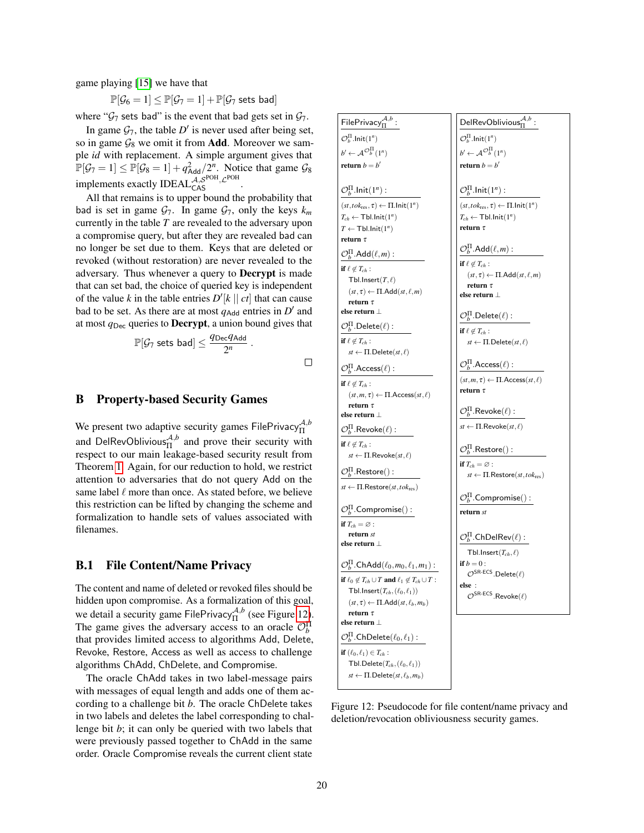game playing [\[15\]](#page-14-23) we have that

$$
\mathbb{P}[\mathcal{G}_6 = 1] \leq \mathbb{P}[\mathcal{G}_7 = 1] + \mathbb{P}[\mathcal{G}_7 \text{ sets bad}]
$$

where " $G_7$  sets bad" is the event that bad gets set in  $G_7$ .

In game  $\mathcal{G}_7$ , the table  $D'$  is never used after being set, so in game  $\mathcal{G}_8$  we omit it from **Add**. Moreover we sample *id* with replacement. A simple argument gives that  $\mathbb{P}[\mathcal{G}_7 = 1] \le \mathbb{P}[\mathcal{G}_8 = 1] + q_{\mathsf{Add}}^2/2^n$ . Notice that game  $\mathcal{G}_8$ implements exactly IDEAL $_{\text{CAS}}^{\mathcal{A}, \mathcal{S}^{\text{POH}}, \mathcal{L}^{\text{POH}}}.$ 

All that remains is to upper bound the probability that bad is set in game  $\mathcal{G}_7$ . In game  $\mathcal{G}_7$ , only the keys  $k_m$ currently in the table *T* are revealed to the adversary upon a compromise query, but after they are revealed bad can no longer be set due to them. Keys that are deleted or revoked (without restoration) are never revealed to the adversary. Thus whenever a query to Decrypt is made that can set bad, the choice of queried key is independent of the value *k* in the table entries  $D'[k \mid c]$  that can cause bad to be set. As there are at most  $q_{\text{Add}}$  entries in  $D'$  and at most  $q_{\text{Dec}}$  queries to **Decrypt**, a union bound gives that

$$
\mathbb{P}[\mathcal{G}_7 \text{ sets bad}] \leq \frac{q_{\text{Dec}} q_{\text{Add}}}{2^n} \ .
$$

## <span id="page-19-0"></span>B Property-based Security Games

We present two adaptive security games FilePrivacy $A$ ,*b*,*b* and DelRevOblivious ${}_{\Pi}^{\mathcal{A},b}$  and prove their security with respect to our main leakage-based security result from Theorem [1.](#page-9-2) Again, for our reduction to hold, we restrict attention to adversaries that do not query Add on the same label  $\ell$  more than once. As stated before, we believe this restriction can be lifted by changing the scheme and formalization to handle sets of values associated with filenames.

#### B.1 File Content/Name Privacy

The content and name of deleted or revoked files should be hidden upon compromise. As a formalization of this goal, we detail a security game FilePrivacy<sup> $A,b$ </sup> (see Figure [12\)](#page-19-1). The game gives the adversary access to an oracle  $\mathcal{O}_b^{\Pi}$ that provides limited access to algorithms Add, Delete, Revoke, Restore, Access as well as access to challenge algorithms ChAdd, ChDelete, and Compromise.

The oracle ChAdd takes in two label-message pairs with messages of equal length and adds one of them according to a challenge bit *b*. The oracle ChDelete takes in two labels and deletes the label corresponding to challenge bit *b*; it can only be queried with two labels that were previously passed together to ChAdd in the same order. Oracle Compromise reveals the current client state

<span id="page-19-1"></span>

Figure 12: Pseudocode for file content/name privacy and deletion/revocation obliviousness security games.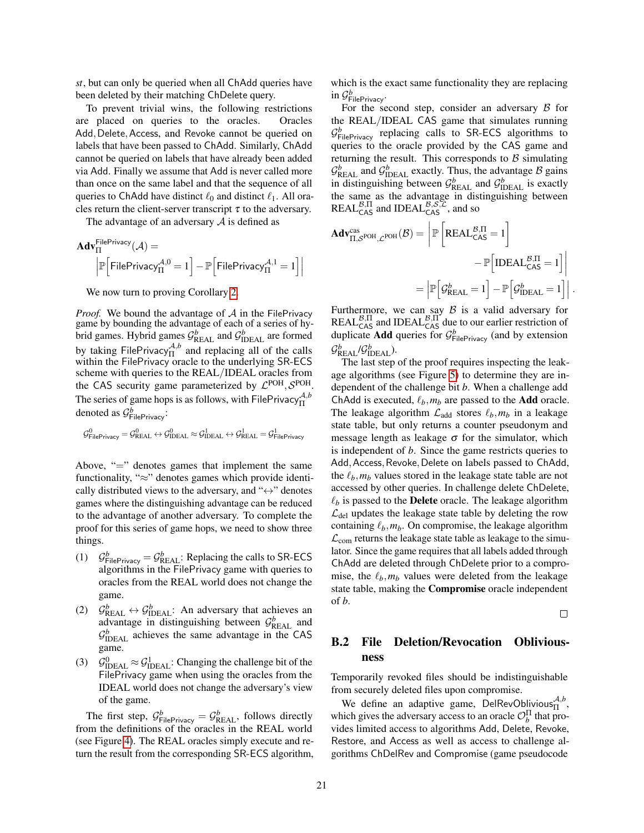*st*, but can only be queried when all ChAdd queries have been deleted by their matching ChDelete query.

To prevent trivial wins, the following restrictions are placed on queries to the oracles. Oracles Add, Delete, Access, and Revoke cannot be queried on labels that have been passed to ChAdd. Similarly, ChAdd cannot be queried on labels that have already been added via Add. Finally we assume that Add is never called more than once on the same label and that the sequence of all queries to ChAdd have distinct  $\ell_0$  and distinct  $\ell_1$ . All oracles return the client-server transcript  $\tau$  to the adversary.

The advantage of an adversary  $\mathcal A$  is defined as

$$
\begin{aligned}\n\mathbf{Adv}_{\Pi}^{\mathsf{FilePrivacy}}(\mathcal{A}) &= \\
\left| \mathbb{P}\right[ \mathsf{FilePrivacy}_{\Pi}^{\mathcal{A},0} = 1 \right] - \mathbb{P}\Big[ \mathsf{FilePrivacy}_{\Pi}^{\mathcal{A},1} = 1 \Big] \right| \\
& \end{aligned}
$$

We now turn to proving Corollary [2.](#page-10-1)

*Proof.* We bound the advantage of  $A$  in the FilePrivacy game by bounding the advantage of each of a series of hybrid games. Hybrid games  $\mathcal{G}_{\text{REAL}}^b$  and  $\mathcal{G}_{\text{IDEAL}}^b$  are formed by taking FilePrivacy $_{\Pi}^{\mathcal{A},b}$  and replacing all of the calls within the FilePrivacy oracle to the underlying SR-ECS scheme with queries to the REAL/IDEAL oracles from the CAS security game parameterized by  $\mathcal{L}^{\text{POH}}$ ,  $\mathcal{S}^{\text{POH}}$ . The series of game hops is as follows, with FilePrivacy $^{A,b}_{\Pi}$ denoted as  $\mathcal{G}^b$ FilePrivacy:

$$
\mathcal{G}_{\mathsf{FilePrivacy}}^0 = \mathcal{G}_{\mathsf{REAL}}^0 \leftrightarrow \mathcal{G}_{\mathsf{IDEAL}}^0 \approx \mathcal{G}_{\mathsf{IDEAL}}^1 \leftrightarrow \mathcal{G}_{\mathsf{REAL}}^1 = \mathcal{G}_{\mathsf{FilePrivacy}}^1
$$

Above, "=" denotes games that implement the same functionality, "≈" denotes games which provide identically distributed views to the adversary, and " $\leftrightarrow$ " denotes games where the distinguishing advantage can be reduced to the advantage of another adversary. To complete the proof for this series of game hops, we need to show three things.

- (1)  $\mathcal{G}^b_{\text{FilePrivacy}} = \mathcal{G}^b_{\text{REAL}}$ : Replacing the calls to SR-ECS algorithms in the FilePrivacy game with queries to oracles from the REAL world does not change the game.
- (2)  $\mathcal{G}_{\text{REAL}}^b \leftrightarrow \mathcal{G}_{\text{IDEAL}}^b$ : An adversary that achieves an advantage in distinguishing between  $\mathcal{G}_{\text{REAL}}^b$  and  $\mathcal{G}_{\text{IDEAL}}^b$  achieves the same advantage in the CAS game.
- (3)  $\mathcal{G}_{\text{IDEAL}}^0 \approx \mathcal{G}_{\text{IDEAL}}^1$ : Changing the challenge bit of the FilePrivacy game when using the oracles from the IDEAL world does not change the adversary's view of the game.

The first step,  $\mathcal{G}^b_{\mathsf{FileP} \text{rivacy}} = \mathcal{G}^b_{\mathsf{REAL}}$ , follows directly from the definitions of the oracles in the REAL world (see Figure [4\)](#page-8-1). The REAL oracles simply execute and return the result from the corresponding SR-ECS algorithm, which is the exact same functionality they are replacing in G *b* FilePrivacy.

For the second step, consider an adversary  $\beta$  for the REAL/IDEAL CAS game that simulates running  $\mathcal{G}^b$ <sub>FilePrivacy</sub> replacing calls to SR-ECS algorithms to queries to the oracle provided by the CAS game and returning the result. This corresponds to  $\beta$  simulating  $\mathcal{G}_{\text{REAL}}^b$  and  $\mathcal{G}_{\text{IDEAL}}^b$  exactly. Thus, the advantage  $\beta$  gains in distinguishing between  $\mathcal{G}_{\text{REAL}}^b$  and  $\mathcal{G}_{\text{IDEAL}}^b$  is exactly the same as the advantage in distinguishing between REAL $_{\text{CAS}}^{\mathcal{B},\Pi}$  and IDEAL $_{\text{CAS}}^{\mathcal{B},\mathcal{S},\mathcal{L}}$ , and so

$$
Adv_{\Pi, \mathcal{S}^{POH}, \mathcal{L}^{POH}}^{cas}(\mathcal{B}) = \left| \mathbb{P} \left[ REAL_{CAS}^{\mathcal{B}, \Pi} = 1 \right] - \mathbb{P} \left[ IDEAL_{CAS}^{\mathcal{B}, \Pi} = 1 \right] \right|
$$

$$
= \left| \mathbb{P} \left[ \mathcal{G}_{REAL}^{b} = 1 \right] - \mathbb{P} \left[ \mathcal{G}_{IDEAL}^{b} = 1 \right] \right|.
$$

Furthermore, we can say  $\beta$  is a valid adversary for  $REAL_{CAS}^{B,\Pi}$  and IDEAL $_{CAS}^{B,\Pi}$  due to our earlier restriction of duplicate **Add** queries for  $\mathcal{G}_{\text{FilePriver}}^b$  (and by extension  $\mathcal{G}_{\text{REAL}}^b$ / $\mathcal{G}_{\text{IDEAL}}^b$ ).

The last step of the proof requires inspecting the leakage algorithms (see Figure [5\)](#page-9-0) to determine they are independent of the challenge bit *b*. When a challenge add ChAdd is executed,  $\ell_b$ ,  $m_b$  are passed to the **Add** oracle. The leakage algorithm  $\mathcal{L}_{\text{add}}$  stores  $\ell_b, m_b$  in a leakage state table, but only returns a counter pseudonym and message length as leakage  $\sigma$  for the simulator, which is independent of *b*. Since the game restricts queries to Add, Access, Revoke, Delete on labels passed to ChAdd, the  $\ell_b$ ,  $m_b$  values stored in the leakage state table are not accessed by other queries. In challenge delete ChDelete,  $\ell_b$  is passed to the **Delete** oracle. The leakage algorithm  $\mathcal{L}_{\text{del}}$  updates the leakage state table by deleting the row containing  $\ell_b$ ,  $m_b$ . On compromise, the leakage algorithm  $\mathcal{L}_{com}$  returns the leakage state table as leakage to the simulator. Since the game requires that all labels added through ChAdd are deleted through ChDelete prior to a compromise, the  $\ell_b$ ,  $m_b$  values were deleted from the leakage state table, making the Compromise oracle independent of *b*.

 $\Box$ 

# B.2 File Deletion/Revocation Obliviousness

Temporarily revoked files should be indistinguishable from securely deleted files upon compromise.

We define an adaptive game, DelRevOblivious $^{A,b}_{\Pi}$ , which gives the adversary access to an oracle  $\mathcal{O}_b^{\Pi}$  that provides limited access to algorithms Add, Delete, Revoke, Restore, and Access as well as access to challenge algorithms ChDelRev and Compromise (game pseudocode